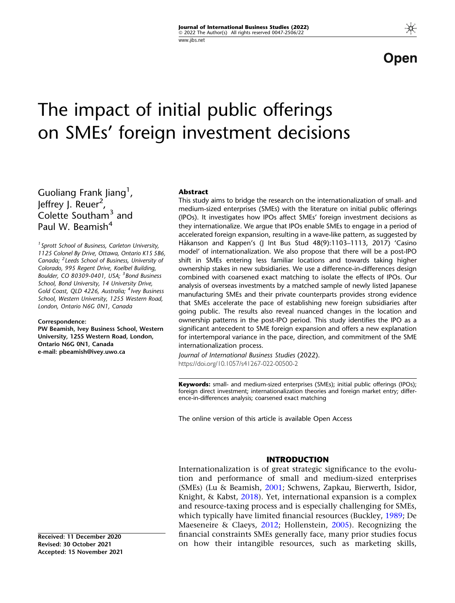Open

# The impact of initial public offerings on SMEs' foreign investment decisions

Guoliang Frank Jiang<sup>1</sup>, Jeffrey J. Reuer<sup>2</sup>, Colette Southam<sup>3</sup> and Paul W. Beamish<sup>4</sup>

<sup>1</sup> Sprott School of Business, Carleton University, 1125 Colonel By Drive, Ottawa, Ontario K1S 5B6, Canada; <sup>2</sup> Leeds School of Business, University of Colorado, 995 Regent Drive, Koelbel Building, Boulder, CO 80309-0401, USA; <sup>3</sup> Bond Business School, Bond University, 14 University Drive, Gold Coast, QLD 4226, Australia; <sup>4</sup>Ivey Business School, Western University, 1255 Western Road, London, Ontario N6G 0N1, Canada

#### Correspondence:

PW Beamish, Ivey Business School, Western University, 1255 Western Road, London, Ontario N6G 0N1, Canada e-mail: pbeamish@ivey.uwo.ca

#### Abstract

This study aims to bridge the research on the internationalization of small- and medium-sized enterprises (SMEs) with the literature on initial public offerings (IPOs). It investigates how IPOs affect SMEs' foreign investment decisions as they internationalize. We argue that IPOs enable SMEs to engage in a period of accelerated foreign expansion, resulting in a wave-like pattern, as suggested by Håkanson and Kappen's (J Int Bus Stud 48(9):1103-1113, 2017) 'Casino model' of internationalization. We also propose that there will be a post-IPO shift in SMEs entering less familiar locations and towards taking higher ownership stakes in new subsidiaries. We use a difference-in-differences design combined with coarsened exact matching to isolate the effects of IPOs. Our analysis of overseas investments by a matched sample of newly listed Japanese manufacturing SMEs and their private counterparts provides strong evidence that SMEs accelerate the pace of establishing new foreign subsidiaries after going public. The results also reveal nuanced changes in the location and ownership patterns in the post-IPO period. This study identifies the IPO as a significant antecedent to SME foreign expansion and offers a new explanation for intertemporal variance in the pace, direction, and commitment of the SME internationalization process.

Journal of International Business Studies (2022). https://doi.org/10.1057/s41267-022-00500-2

Keywords: small- and medium-sized enterprises (SMEs); initial public offerings (IPOs); foreign direct investment; internationalization theories and foreign market entry; difference-in-differences analysis; coarsened exact matching

The online version of this article is available Open Access

#### INTRODUCTION

Internationalization is of great strategic significance to the evolution and performance of small and medium-sized enterprises (SMEs) (Lu & Beamish, [2001;](#page-21-0) Schwens, Zapkau, Bierwerth, Isidor, Knight, & Kabst, [2018](#page-22-0)). Yet, international expansion is a complex and resource-taxing process and is especially challenging for SMEs, which typically have limited financial resources (Buckley, [1989](#page-20-0); De Maeseneire & Claeys, [2012;](#page-20-0) Hollenstein, [2005](#page-21-0)). Recognizing the financial constraints SMEs generally face, many prior studies focus on how their intangible resources, such as marketing skills,

Received: 11 December 2020 Revised: 30 October 2021 Accepted: 15 November 2021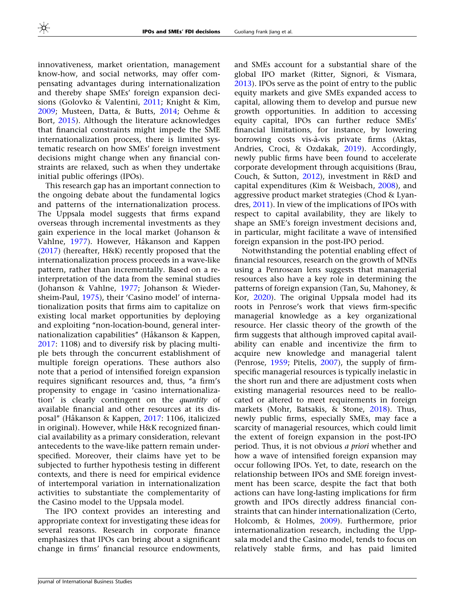innovativeness, market orientation, management know-how, and social networks, may offer compensating advantages during internationalization and thereby shape SMEs' foreign expansion decisions (Golovko & Valentini, [2011;](#page-21-0) Knight & Kim, [2009;](#page-21-0) Musteen, Datta, & Butts, [2014](#page-21-0); Oehme & Bort, [2015](#page-21-0)). Although the literature acknowledges that financial constraints might impede the SME internationalization process, there is limited systematic research on how SMEs' foreign investment decisions might change when any financial constraints are relaxed, such as when they undertake initial public offerings (IPOs).

This research gap has an important connection to the ongoing debate about the fundamental logics and patterns of the internationalization process. The Uppsala model suggests that firms expand overseas through incremental investments as they gain experience in the local market (Johanson & Vahlne, [1977\)](#page-21-0). However, Håkanson and Kappen [\(2017](#page-21-0)) (hereafter, H&K) recently proposed that the internationalization process proceeds in a wave-like pattern, rather than incrementally. Based on a reinterpretation of the data from the seminal studies (Johanson & Vahlne, [1977;](#page-21-0) Johanson & Wiedersheim-Paul, [1975](#page-21-0)), their 'Casino model' of internationalization posits that firms aim to capitalize on existing local market opportunities by deploying and exploiting "non-location-bound, general internationalization capabilities" (Håkanson & Kappen, [2017:](#page-21-0) 1108) and to diversify risk by placing multiple bets through the concurrent establishment of multiple foreign operations. These authors also note that a period of intensified foreign expansion requires significant resources and, thus, "a firm's propensity to engage in 'casino internationalization' is clearly contingent on the quantity of available financial and other resources at its dis-posal" (Håkanson & Kappen, [2017](#page-21-0): 1106, italicized in original). However, while H&K recognized financial availability as a primary consideration, relevant antecedents to the wave-like pattern remain underspecified. Moreover, their claims have yet to be subjected to further hypothesis testing in different contexts, and there is need for empirical evidence of intertemporal variation in internationalization activities to substantiate the complementarity of the Casino model to the Uppsala model.

The IPO context provides an interesting and appropriate context for investigating these ideas for several reasons. Research in corporate finance emphasizes that IPOs can bring about a significant change in firms' financial resource endowments,

and SMEs account for a substantial share of the global IPO market (Ritter, Signori, & Vismara, [2013\)](#page-22-0). IPOs serve as the point of entry to the public equity markets and give SMEs expanded access to capital, allowing them to develop and pursue new growth opportunities. In addition to accessing equity capital, IPOs can further reduce SMEs' financial limitations, for instance, by lowering borrowing costs vis-à-vis private firms (Aktas, Andries, Croci, & Ozdakak, [2019\)](#page-19-0). Accordingly, newly public firms have been found to accelerate corporate development through acquisitions (Brau, Couch, & Sutton, [2012](#page-20-0)), investment in R&D and capital expenditures (Kim & Weisbach, [2008\)](#page-21-0), and aggressive product market strategies (Chod & Lyandres, [2011\)](#page-20-0). In view of the implications of IPOs with respect to capital availability, they are likely to shape an SME's foreign investment decisions and, in particular, might facilitate a wave of intensified foreign expansion in the post-IPO period.

Notwithstanding the potential enabling effect of financial resources, research on the growth of MNEs using a Penrosean lens suggests that managerial resources also have a key role in determining the patterns of foreign expansion (Tan, Su, Mahoney, & Kor, [2020\)](#page-22-0). The original Uppsala model had its roots in Penrose's work that views firm-specific managerial knowledge as a key organizational resource. Her classic theory of the growth of the firm suggests that although improved capital availability can enable and incentivize the firm to acquire new knowledge and managerial talent (Penrose, [1959;](#page-21-0) Pitelis, [2007\)](#page-21-0), the supply of firmspecific managerial resources is typically inelastic in the short run and there are adjustment costs when existing managerial resources need to be reallocated or altered to meet requirements in foreign markets (Mohr, Batsakis, & Stone, [2018](#page-21-0)). Thus, newly public firms, especially SMEs, may face a scarcity of managerial resources, which could limit the extent of foreign expansion in the post-IPO period. Thus, it is not obvious a priori whether and how a wave of intensified foreign expansion may occur following IPOs. Yet, to date, research on the relationship between IPOs and SME foreign investment has been scarce, despite the fact that both actions can have long-lasting implications for firm growth and IPOs directly address financial constraints that can hinder internationalization (Certo, Holcomb, & Holmes, [2009\)](#page-20-0). Furthermore, prior internationalization research, including the Uppsala model and the Casino model, tends to focus on relatively stable firms, and has paid limited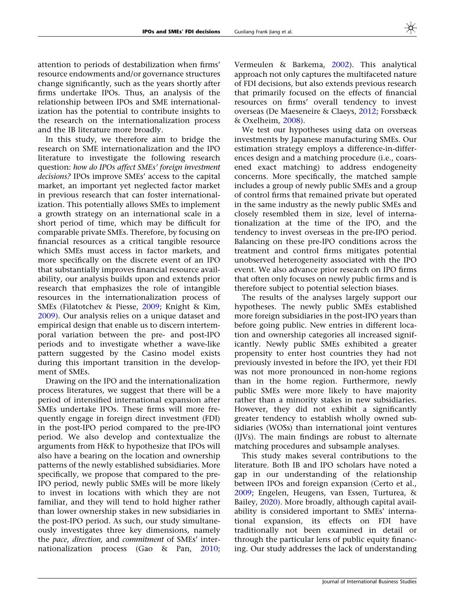attention to periods of destabilization when firms' resource endowments and/or governance structures change significantly, such as the years shortly after firms undertake IPOs. Thus, an analysis of the relationship between IPOs and SME internationalization has the potential to contribute insights to the research on the internationalization process and the IB literature more broadly.

In this study, we therefore aim to bridge the research on SME internationalization and the IPO literature to investigate the following research question: how do IPOs affect SMEs' foreign investment decisions? IPOs improve SMEs' access to the capital market, an important yet neglected factor market in previous research that can foster internationalization. This potentially allows SMEs to implement a growth strategy on an international scale in a short period of time, which may be difficult for comparable private SMEs. Therefore, by focusing on financial resources as a critical tangible resource which SMEs must access in factor markets, and more specifically on the discrete event of an IPO that substantially improves financial resource availability, our analysis builds upon and extends prior research that emphasizes the role of intangible resources in the internationalization process of SMEs (Filatotchev & Piesse, [2009](#page-20-0); Knight & Kim, [2009\)](#page-21-0). Our analysis relies on a unique dataset and empirical design that enable us to discern intertemporal variation between the pre- and post-IPO periods and to investigate whether a wave-like pattern suggested by the Casino model exists during this important transition in the development of SMEs.

Drawing on the IPO and the internationalization process literatures, we suggest that there will be a period of intensified international expansion after SMEs undertake IPOs. These firms will more frequently engage in foreign direct investment (FDI) in the post-IPO period compared to the pre-IPO period. We also develop and contextualize the arguments from H&K to hypothesize that IPOs will also have a bearing on the location and ownership patterns of the newly established subsidiaries. More specifically, we propose that compared to the pre-IPO period, newly public SMEs will be more likely to invest in locations with which they are not familiar, and they will tend to hold higher rather than lower ownership stakes in new subsidiaries in the post-IPO period. As such, our study simultaneously investigates three key dimensions, namely the pace, direction, and commitment of SMEs' internationalization process (Gao & Pan, [2010;](#page-20-0)

Vermeulen & Barkema, [2002](#page-22-0)). This analytical approach not only captures the multifaceted nature of FDI decisions, but also extends previous research that primarily focused on the effects of financial resources on firms' overall tendency to invest overseas (De Maeseneire & Claeys, [2012;](#page-20-0) Forssbæck & Oxelheim, [2008](#page-20-0)).

We test our hypotheses using data on overseas investments by Japanese manufacturing SMEs. Our estimation strategy employs a difference-in-differences design and a matching procedure (i.e., coarsened exact matching) to address endogeneity concerns. More specifically, the matched sample includes a group of newly public SMEs and a group of control firms that remained private but operated in the same industry as the newly public SMEs and closely resembled them in size, level of internationalization at the time of the IPO, and the tendency to invest overseas in the pre-IPO period. Balancing on these pre-IPO conditions across the treatment and control firms mitigates potential unobserved heterogeneity associated with the IPO event. We also advance prior research on IPO firms that often only focuses on newly public firms and is therefore subject to potential selection biases.

The results of the analyses largely support our hypotheses. The newly public SMEs established more foreign subsidiaries in the post-IPO years than before going public. New entries in different location and ownership categories all increased significantly. Newly public SMEs exhibited a greater propensity to enter host countries they had not previously invested in before the IPO, yet their FDI was not more pronounced in non-home regions than in the home region. Furthermore, newly public SMEs were more likely to have majority rather than a minority stakes in new subsidiaries. However, they did not exhibit a significantly greater tendency to establish wholly owned subsidiaries (WOSs) than international joint ventures (IJVs). The main findings are robust to alternate matching procedures and subsample analyses.

This study makes several contributions to the literature. Both IB and IPO scholars have noted a gap in our understanding of the relationship between IPOs and foreign expansion (Certo et al., [2009;](#page-20-0) Engelen, Heugens, van Essen, Turturea, & Bailey, [2020](#page-20-0)). More broadly, although capital availability is considered important to SMEs' international expansion, its effects on FDI have traditionally not been examined in detail or through the particular lens of public equity financing. Our study addresses the lack of understanding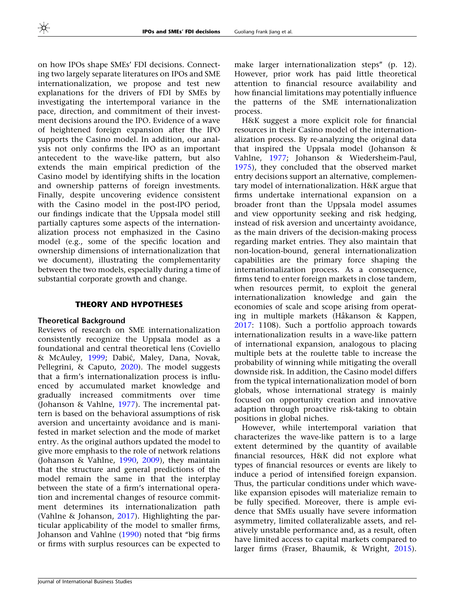on how IPOs shape SMEs' FDI decisions. Connecting two largely separate literatures on IPOs and SME internationalization, we propose and test new explanations for the drivers of FDI by SMEs by investigating the intertemporal variance in the pace, direction, and commitment of their investment decisions around the IPO. Evidence of a wave of heightened foreign expansion after the IPO supports the Casino model. In addition, our analysis not only confirms the IPO as an important antecedent to the wave-like pattern, but also extends the main empirical prediction of the Casino model by identifying shifts in the location and ownership patterns of foreign investments. Finally, despite uncovering evidence consistent with the Casino model in the post-IPO period, our findings indicate that the Uppsala model still partially captures some aspects of the internationalization process not emphasized in the Casino model (e.g., some of the specific location and ownership dimensions of internationalization that we document), illustrating the complementarity between the two models, especially during a time of substantial corporate growth and change.

## THEORY AND HYPOTHESES

## Theoretical Background

Reviews of research on SME internationalization consistently recognize the Uppsala model as a foundational and central theoretical lens (Coviello & McAuley, [1999;](#page-20-0) Dabić, Maley, Dana, Novak, Pellegrini, & Caputo, [2020\)](#page-20-0). The model suggests that a firm's internationalization process is influenced by accumulated market knowledge and gradually increased commitments over time (Johanson & Vahlne, [1977](#page-21-0)). The incremental pattern is based on the behavioral assumptions of risk aversion and uncertainty avoidance and is manifested in market selection and the mode of market entry. As the original authors updated the model to give more emphasis to the role of network relations (Johanson & Vahlne, [1990,](#page-21-0) [2009](#page-21-0)), they maintain that the structure and general predictions of the model remain the same in that the interplay between the state of a firm's international operation and incremental changes of resource commitment determines its internationalization path (Vahlne & Johanson, [2017](#page-22-0)). Highlighting the particular applicability of the model to smaller firms, Johanson and Vahlne [\(1990\)](#page-21-0) noted that ''big firms or firms with surplus resources can be expected to

make larger internationalization steps'' (p. 12). However, prior work has paid little theoretical attention to financial resource availability and how financial limitations may potentially influence the patterns of the SME internationalization process.

H&K suggest a more explicit role for financial resources in their Casino model of the internationalization process. By re-analyzing the original data that inspired the Uppsala model (Johanson & Vahlne, [1977](#page-21-0); Johanson & Wiedersheim-Paul, [1975\)](#page-21-0), they concluded that the observed market entry decisions support an alternative, complementary model of internationalization. H&K argue that firms undertake international expansion on a broader front than the Uppsala model assumes and view opportunity seeking and risk hedging, instead of risk aversion and uncertainty avoidance, as the main drivers of the decision-making process regarding market entries. They also maintain that non-location-bound, general internationalization capabilities are the primary force shaping the internationalization process. As a consequence, firms tend to enter foreign markets in close tandem, when resources permit, to exploit the general internationalization knowledge and gain the economies of scale and scope arising from operating in multiple markets (Håkanson & Kappen, [2017:](#page-21-0) 1108). Such a portfolio approach towards internationalization results in a wave-like pattern of international expansion, analogous to placing multiple bets at the roulette table to increase the probability of winning while mitigating the overall downside risk. In addition, the Casino model differs from the typical internationalization model of born globals, whose international strategy is mainly focused on opportunity creation and innovative adaption through proactive risk-taking to obtain positions in global niches.

However, while intertemporal variation that characterizes the wave-like pattern is to a large extent determined by the quantity of available financial resources, H&K did not explore what types of financial resources or events are likely to induce a period of intensified foreign expansion. Thus, the particular conditions under which wavelike expansion episodes will materialize remain to be fully specified. Moreover, there is ample evidence that SMEs usually have severe information asymmetry, limited collateralizable assets, and relatively unstable performance and, as a result, often have limited access to capital markets compared to larger firms (Fraser, Bhaumik, & Wright, [2015](#page-20-0)).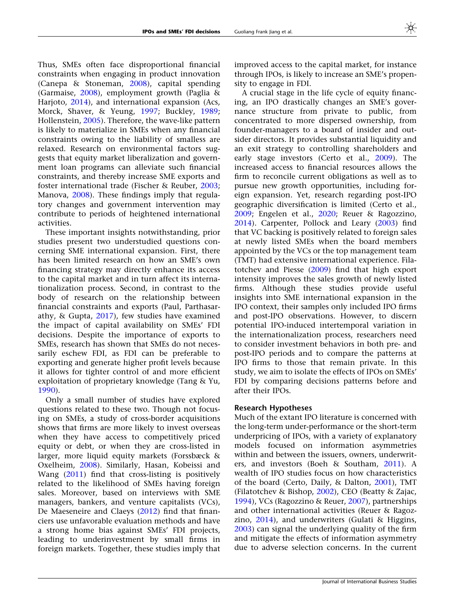Thus, SMEs often face disproportional financial constraints when engaging in product innovation (Canepa & Stoneman, [2008\)](#page-20-0), capital spending (Garmaise, [2008\)](#page-20-0), employment growth (Paglia & Harjoto, [2014](#page-21-0)), and international expansion (Acs, Morck, Shaver, & Yeung, [1997;](#page-19-0) Buckley, [1989;](#page-20-0) Hollenstein, [2005\)](#page-21-0). Therefore, the wave-like pattern is likely to materialize in SMEs when any financial constraints owing to the liability of smalless are relaxed. Research on environmental factors suggests that equity market liberalization and government loan programs can alleviate such financial constraints, and thereby increase SME exports and foster international trade (Fischer & Reuber, [2003;](#page-20-0) Manova, [2008](#page-21-0)). These findings imply that regulatory changes and government intervention may contribute to periods of heightened international activities.

These important insights notwithstanding, prior studies present two understudied questions concerning SME international expansion. First, there has been limited research on how an SME's own financing strategy may directly enhance its access to the capital market and in turn affect its internationalization process. Second, in contrast to the body of research on the relationship between financial constraints and exports (Paul, Parthasarathy, & Gupta, [2017\)](#page-21-0), few studies have examined the impact of capital availability on SMEs' FDI decisions. Despite the importance of exports to SMEs, research has shown that SMEs do not necessarily eschew FDI, as FDI can be preferable to exporting and generate higher profit levels because it allows for tighter control of and more efficient exploitation of proprietary knowledge (Tang & Yu, [1990\)](#page-22-0).

Only a small number of studies have explored questions related to these two. Though not focusing on SMEs, a study of cross-border acquisitions shows that firms are more likely to invest overseas when they have access to competitively priced equity or debt, or when they are cross-listed in larger, more liquid equity markets (Forssbæck & Oxelheim, [2008](#page-20-0)). Similarly, Hasan, Kobeissi and Wang ([2011\)](#page-21-0) find that cross-listing is positively related to the likelihood of SMEs having foreign sales. Moreover, based on interviews with SME managers, bankers, and venture capitalists (VCs), De Maeseneire and Claeys [\(2012](#page-20-0)) find that financiers use unfavorable evaluation methods and have a strong home bias against SMEs' FDI projects, leading to underinvestment by small firms in foreign markets. Together, these studies imply that improved access to the capital market, for instance through IPOs, is likely to increase an SME's propensity to engage in FDI.

A crucial stage in the life cycle of equity financing, an IPO drastically changes an SME's governance structure from private to public, from concentrated to more dispersed ownership, from founder-managers to a board of insider and outsider directors. It provides substantial liquidity and an exit strategy to controlling shareholders and early stage investors (Certo et al., [2009](#page-20-0)). The increased access to financial resources allows the firm to reconcile current obligations as well as to pursue new growth opportunities, including foreign expansion. Yet, research regarding post-IPO geographic diversification is limited (Certo et al., [2009;](#page-20-0) Engelen et al., [2020;](#page-20-0) Reuer & Ragozzino, [2014\)](#page-22-0). Carpenter, Pollock and Leary ([2003\)](#page-20-0) find that VC backing is positively related to foreign sales at newly listed SMEs when the board members appointed by the VCs or the top management team (TMT) had extensive international experience. Filatotchev and Piesse [\(2009\)](#page-20-0) find that high export intensity improves the sales growth of newly listed firms. Although these studies provide useful insights into SME international expansion in the IPO context, their samples only included IPO firms and post-IPO observations. However, to discern potential IPO-induced intertemporal variation in the internationalization process, researchers need to consider investment behaviors in both pre- and post-IPO periods and to compare the patterns at IPO firms to those that remain private. In this study, we aim to isolate the effects of IPOs on SMEs' FDI by comparing decisions patterns before and after their IPOs.

### Research Hypotheses

Much of the extant IPO literature is concerned with the long-term under-performance or the short-term underpricing of IPOs, with a variety of explanatory models focused on information asymmetries within and between the issuers, owners, underwriters, and investors (Boeh & Southam, [2011\)](#page-20-0). A wealth of IPO studies focus on how characteristics of the board (Certo, Daily, & Dalton, [2001](#page-20-0)), TMT (Filatotchev & Bishop,  $2002$ ), CEO (Beatty & Zajac, [1994\)](#page-20-0), VCs (Ragozzino & Reuer, [2007\)](#page-22-0), partnerships and other international activities (Reuer & Ragozzino, [2014\)](#page-22-0), and underwriters (Gulati & Higgins, [2003\)](#page-21-0) can signal the underlying quality of the firm and mitigate the effects of information asymmetry due to adverse selection concerns. In the current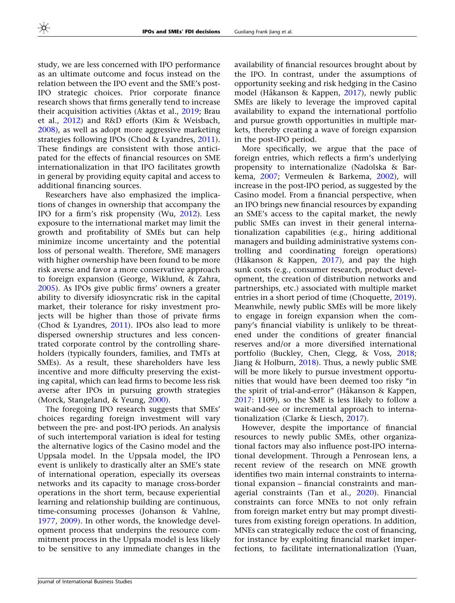study, we are less concerned with IPO performance as an ultimate outcome and focus instead on the relation between the IPO event and the SME's post-IPO strategic choices. Prior corporate finance research shows that firms generally tend to increase their acquisition activities (Aktas et al., [2019;](#page-19-0) Brau et al., [2012\)](#page-20-0) and R&D efforts (Kim & Weisbach, [2008\)](#page-21-0), as well as adopt more aggressive marketing strategies following IPOs (Chod & Lyandres, [2011\)](#page-20-0). These findings are consistent with those anticipated for the effects of financial resources on SME internationalization in that IPO facilitates growth in general by providing equity capital and access to additional financing sources.

Researchers have also emphasized the implications of changes in ownership that accompany the IPO for a firm's risk propensity (Wu, [2012](#page-22-0)). Less exposure to the international market may limit the growth and profitability of SMEs but can help minimize income uncertainty and the potential loss of personal wealth. Therefore, SME managers with higher ownership have been found to be more risk averse and favor a more conservative approach to foreign expansion (George, Wiklund, & Zahra, [2005\)](#page-20-0). As IPOs give public firms' owners a greater ability to diversify idiosyncratic risk in the capital market, their tolerance for risky investment projects will be higher than those of private firms (Chod & Lyandres, [2011\)](#page-20-0). IPOs also lead to more dispersed ownership structures and less concentrated corporate control by the controlling shareholders (typically founders, families, and TMTs at SMEs). As a result, these shareholders have less incentive and more difficulty preserving the existing capital, which can lead firms to become less risk averse after IPOs in pursuing growth strategies (Morck, Stangeland, & Yeung, [2000\)](#page-21-0).

The foregoing IPO research suggests that SMEs' choices regarding foreign investment will vary between the pre- and post-IPO periods. An analysis of such intertemporal variation is ideal for testing the alternative logics of the Casino model and the Uppsala model. In the Uppsala model, the IPO event is unlikely to drastically alter an SME's state of international operation, especially its overseas networks and its capacity to manage cross-border operations in the short term, because experiential learning and relationship building are continuous, time-consuming processes (Johanson & Vahlne, [1977,](#page-21-0) [2009\)](#page-21-0). In other words, the knowledge development process that underpins the resource commitment process in the Uppsala model is less likely to be sensitive to any immediate changes in the

availability of financial resources brought about by the IPO. In contrast, under the assumptions of opportunity seeking and risk hedging in the Casino model (Håkanson & Kappen, [2017](#page-21-0)), newly public SMEs are likely to leverage the improved capital availability to expand the international portfolio and pursue growth opportunities in multiple markets, thereby creating a wave of foreign expansion in the post-IPO period.

More specifically, we argue that the pace of foreign entries, which reflects a firm's underlying propensity to internationalize (Nadolska & Barkema, [2007;](#page-21-0) Vermeulen & Barkema, [2002\)](#page-22-0), will increase in the post-IPO period, as suggested by the Casino model. From a financial perspective, when an IPO brings new financial resources by expanding an SME's access to the capital market, the newly public SMEs can invest in their general internationalization capabilities (e.g., hiring additional managers and building administrative systems controlling and coordinating foreign operations) (Håkanson & Kappen, [2017](#page-21-0)), and pay the high sunk costs (e.g., consumer research, product development, the creation of distribution networks and partnerships, etc.) associated with multiple market entries in a short period of time (Choquette, [2019](#page-20-0)). Meanwhile, newly public SMEs will be more likely to engage in foreign expansion when the company's financial viability is unlikely to be threatened under the conditions of greater financial reserves and/or a more diversified international portfolio (Buckley, Chen, Clegg, & Voss, [2018;](#page-20-0) Jiang & Holburn, [2018\)](#page-21-0). Thus, a newly public SME will be more likely to pursue investment opportunities that would have been deemed too risky ''in the spirit of trial-and-error" (Håkanson & Kappen, [2017:](#page-21-0) 1109), so the SME is less likely to follow a wait-and-see or incremental approach to internationalization (Clarke & Liesch, [2017\)](#page-20-0).

However, despite the importance of financial resources to newly public SMEs, other organizational factors may also influence post-IPO international development. Through a Penrosean lens, a recent review of the research on MNE growth identifies two main internal constraints to international expansion – financial constraints and managerial constraints (Tan et al., [2020\)](#page-22-0). Financial constraints can force MNEs to not only refrain from foreign market entry but may prompt divestitures from existing foreign operations. In addition, MNEs can strategically reduce the cost of financing, for instance by exploiting financial market imperfections, to facilitate internationalization (Yuan,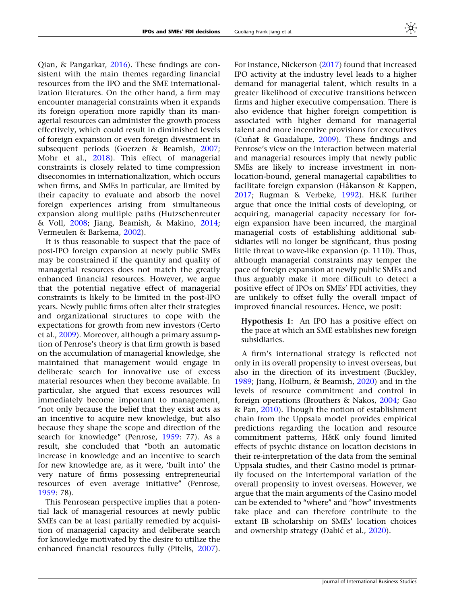Qian, & Pangarkar, [2016](#page-22-0)). These findings are consistent with the main themes regarding financial resources from the IPO and the SME internationalization literatures. On the other hand, a firm may encounter managerial constraints when it expands its foreign operation more rapidly than its managerial resources can administer the growth process effectively, which could result in diminished levels of foreign expansion or even foreign divestment in subsequent periods (Goerzen & Beamish, [2007;](#page-20-0) Mohr et al., [2018](#page-21-0)). This effect of managerial constraints is closely related to time compression diseconomies in internationalization, which occurs when firms, and SMEs in particular, are limited by their capacity to evaluate and absorb the novel foreign experiences arising from simultaneous expansion along multiple paths (Hutzschenreuter & Voll, [2008;](#page-21-0) Jiang, Beamish, & Makino, [2014;](#page-21-0) Vermeulen & Barkema, [2002\)](#page-22-0).

It is thus reasonable to suspect that the pace of post-IPO foreign expansion at newly public SMEs may be constrained if the quantity and quality of managerial resources does not match the greatly enhanced financial resources. However, we argue that the potential negative effect of managerial constraints is likely to be limited in the post-IPO years. Newly public firms often alter their strategies and organizational structures to cope with the expectations for growth from new investors (Certo et al., [2009\)](#page-20-0). Moreover, although a primary assumption of Penrose's theory is that firm growth is based on the accumulation of managerial knowledge, she maintained that management would engage in deliberate search for innovative use of excess material resources when they become available. In particular, she argued that excess resources will immediately become important to management, "not only because the belief that they exist acts as an incentive to acquire new knowledge, but also because they shape the scope and direction of the search for knowledge'' (Penrose, [1959:](#page-21-0) 77). As a result, she concluded that ''both an automatic increase in knowledge and an incentive to search for new knowledge are, as it were, 'built into' the very nature of firms possessing entrepreneurial resources of even average initiative'' (Penrose, [1959:](#page-21-0) 78).

This Penrosean perspective implies that a potential lack of managerial resources at newly public SMEs can be at least partially remedied by acquisition of managerial capacity and deliberate search for knowledge motivated by the desire to utilize the enhanced financial resources fully (Pitelis, [2007\)](#page-21-0).

For instance, Nickerson [\(2017](#page-21-0)) found that increased IPO activity at the industry level leads to a higher demand for managerial talent, which results in a greater likelihood of executive transitions between firms and higher executive compensation. There is also evidence that higher foreign competition is associated with higher demand for managerial talent and more incentive provisions for executives (Cuñat & Guadalupe,  $2009$ ). These findings and Penrose's view on the interaction between material and managerial resources imply that newly public SMEs are likely to increase investment in nonlocation-bound, general managerial capabilities to facilitate foreign expansion (Håkanson & Kappen, [2017;](#page-21-0) Rugman & Verbeke, [1992](#page-22-0)). H&K further argue that once the initial costs of developing, or acquiring, managerial capacity necessary for foreign expansion have been incurred, the marginal managerial costs of establishing additional subsidiaries will no longer be significant, thus posing little threat to wave-like expansion (p. 1110). Thus, although managerial constraints may temper the pace of foreign expansion at newly public SMEs and thus arguably make it more difficult to detect a positive effect of IPOs on SMEs' FDI activities, they are unlikely to offset fully the overall impact of improved financial resources. Hence, we posit:

Hypothesis 1: An IPO has a positive effect on the pace at which an SME establishes new foreign subsidiaries.

A firm's international strategy is reflected not only in its overall propensity to invest overseas, but also in the direction of its investment (Buckley, [1989;](#page-20-0) Jiang, Holburn, & Beamish, [2020](#page-21-0)) and in the levels of resource commitment and control in foreign operations (Brouthers & Nakos, [2004;](#page-20-0) Gao & Pan, [2010\)](#page-20-0). Though the notion of establishment chain from the Uppsala model provides empirical predictions regarding the location and resource commitment patterns, H&K only found limited effects of psychic distance on location decisions in their re-interpretation of the data from the seminal Uppsala studies, and their Casino model is primarily focused on the intertemporal variation of the overall propensity to invest overseas. However, we argue that the main arguments of the Casino model can be extended to ''where'' and ''how'' investments take place and can therefore contribute to the extant IB scholarship on SMEs' location choices and ownership strategy (Dabić et al., [2020\)](#page-20-0).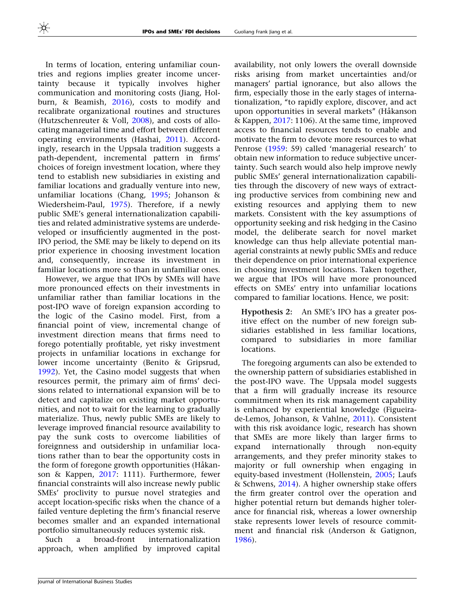In terms of location, entering unfamiliar countries and regions implies greater income uncertainty because it typically involves higher communication and monitoring costs (Jiang, Holburn, & Beamish, [2016\)](#page-21-0), costs to modify and recalibrate organizational routines and structures (Hutzschenreuter & Voll, [2008\)](#page-21-0), and costs of allocating managerial time and effort between different operating environments (Hashai, [2011\)](#page-21-0). Accordingly, research in the Uppsala tradition suggests a path-dependent, incremental pattern in firms' choices of foreign investment location, where they tend to establish new subsidiaries in existing and familiar locations and gradually venture into new, unfamiliar locations (Chang, [1995](#page-20-0); Johanson & Wiedersheim-Paul, [1975](#page-21-0)). Therefore, if a newly public SME's general internationalization capabilities and related administrative systems are underdeveloped or insufficiently augmented in the post-IPO period, the SME may be likely to depend on its prior experience in choosing investment location and, consequently, increase its investment in familiar locations more so than in unfamiliar ones.

However, we argue that IPOs by SMEs will have more pronounced effects on their investments in unfamiliar rather than familiar locations in the post-IPO wave of foreign expansion according to the logic of the Casino model. First, from a financial point of view, incremental change of investment direction means that firms need to forego potentially profitable, yet risky investment projects in unfamiliar locations in exchange for lower income uncertainty (Benito & Gripsrud, [1992\)](#page-20-0). Yet, the Casino model suggests that when resources permit, the primary aim of firms' decisions related to international expansion will be to detect and capitalize on existing market opportunities, and not to wait for the learning to gradually materialize. Thus, newly public SMEs are likely to leverage improved financial resource availability to pay the sunk costs to overcome liabilities of foreignness and outsidership in unfamiliar locations rather than to bear the opportunity costs in the form of foregone growth opportunities (Håkanson & Kappen, [2017:](#page-21-0) 1111). Furthermore, fewer financial constraints will also increase newly public SMEs' proclivity to pursue novel strategies and accept location-specific risks when the chance of a failed venture depleting the firm's financial reserve becomes smaller and an expanded international portfolio simultaneously reduces systemic risk.

Such a broad-front internationalization approach, when amplified by improved capital availability, not only lowers the overall downside risks arising from market uncertainties and/or managers' partial ignorance, but also allows the firm, especially those in the early stages of internationalization, ''to rapidly explore, discover, and act upon opportunities in several markets" (Håkanson & Kappen, [2017:](#page-21-0) 1106). At the same time, improved access to financial resources tends to enable and motivate the firm to devote more resources to what Penrose ([1959:](#page-21-0) 59) called 'managerial research' to obtain new information to reduce subjective uncertainty. Such search would also help improve newly public SMEs' general internationalization capabilities through the discovery of new ways of extracting productive services from combining new and existing resources and applying them to new markets. Consistent with the key assumptions of opportunity seeking and risk hedging in the Casino model, the deliberate search for novel market knowledge can thus help alleviate potential managerial constraints at newly public SMEs and reduce their dependence on prior international experience in choosing investment locations. Taken together, we argue that IPOs will have more pronounced effects on SMEs' entry into unfamiliar locations compared to familiar locations. Hence, we posit:

Hypothesis 2: An SME's IPO has a greater positive effect on the number of new foreign subsidiaries established in less familiar locations, compared to subsidiaries in more familiar locations.

The foregoing arguments can also be extended to the ownership pattern of subsidiaries established in the post-IPO wave. The Uppsala model suggests that a firm will gradually increase its resource commitment when its risk management capability is enhanced by experiential knowledge (Figueirade-Lemos, Johanson, & Vahlne, [2011](#page-20-0)). Consistent with this risk avoidance logic, research has shown that SMEs are more likely than larger firms to expand internationally through non-equity arrangements, and they prefer minority stakes to majority or full ownership when engaging in equity-based investment (Hollenstein, [2005](#page-21-0); Laufs & Schwens, [2014](#page-21-0)). A higher ownership stake offers the firm greater control over the operation and higher potential return but demands higher tolerance for financial risk, whereas a lower ownership stake represents lower levels of resource commitment and financial risk (Anderson & Gatignon, [1986\)](#page-19-0).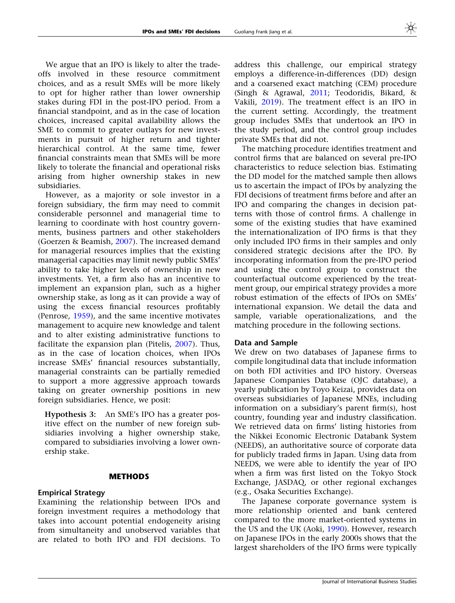We argue that an IPO is likely to alter the tradeoffs involved in these resource commitment choices, and as a result SMEs will be more likely to opt for higher rather than lower ownership stakes during FDI in the post-IPO period. From a financial standpoint, and as in the case of location choices, increased capital availability allows the SME to commit to greater outlays for new investments in pursuit of higher return and tighter hierarchical control. At the same time, fewer financial constraints mean that SMEs will be more likely to tolerate the financial and operational risks arising from higher ownership stakes in new subsidiaries.

However, as a majority or sole investor in a foreign subsidiary, the firm may need to commit considerable personnel and managerial time to learning to coordinate with host country governments, business partners and other stakeholders (Goerzen & Beamish, [2007\)](#page-20-0). The increased demand for managerial resources implies that the existing managerial capacities may limit newly public SMEs' ability to take higher levels of ownership in new investments. Yet, a firm also has an incentive to implement an expansion plan, such as a higher ownership stake, as long as it can provide a way of using the excess financial resources profitably (Penrose, [1959\)](#page-21-0), and the same incentive motivates management to acquire new knowledge and talent and to alter existing administrative functions to facilitate the expansion plan (Pitelis, [2007](#page-21-0)). Thus, as in the case of location choices, when IPOs increase SMEs' financial resources substantially, managerial constraints can be partially remedied to support a more aggressive approach towards taking on greater ownership positions in new foreign subsidiaries. Hence, we posit:

Hypothesis 3: An SME's IPO has a greater positive effect on the number of new foreign subsidiaries involving a higher ownership stake, compared to subsidiaries involving a lower ownership stake.

## METHODS

## Empirical Strategy

Examining the relationship between IPOs and foreign investment requires a methodology that takes into account potential endogeneity arising from simultaneity and unobserved variables that are related to both IPO and FDI decisions. To

address this challenge, our empirical strategy employs a difference-in-differences (DD) design and a coarsened exact matching (CEM) procedure (Singh & Agrawal, [2011](#page-22-0); Teodoridis, Bikard, & Vakili, [2019](#page-22-0)). The treatment effect is an IPO in the current setting. Accordingly, the treatment group includes SMEs that undertook an IPO in the study period, and the control group includes private SMEs that did not.

The matching procedure identifies treatment and control firms that are balanced on several pre-IPO characteristics to reduce selection bias. Estimating the DD model for the matched sample then allows us to ascertain the impact of IPOs by analyzing the FDI decisions of treatment firms before and after an IPO and comparing the changes in decision patterns with those of control firms. A challenge in some of the existing studies that have examined the internationalization of IPO firms is that they only included IPO firms in their samples and only considered strategic decisions after the IPO. By incorporating information from the pre-IPO period and using the control group to construct the counterfactual outcome experienced by the treatment group, our empirical strategy provides a more robust estimation of the effects of IPOs on SMEs' international expansion. We detail the data and sample, variable operationalizations, and the matching procedure in the following sections.

## Data and Sample

We drew on two databases of Japanese firms to compile longitudinal data that include information on both FDI activities and IPO history. Overseas Japanese Companies Database (OJC database), a yearly publication by Toyo Keizai, provides data on overseas subsidiaries of Japanese MNEs, including information on a subsidiary's parent firm(s), host country, founding year and industry classification. We retrieved data on firms' listing histories from the Nikkei Economic Electronic Databank System (NEEDS), an authoritative source of corporate data for publicly traded firms in Japan. Using data from NEEDS, we were able to identify the year of IPO when a firm was first listed on the Tokyo Stock Exchange, JASDAQ, or other regional exchanges (e.g., Osaka Securities Exchange).

The Japanese corporate governance system is more relationship oriented and bank centered compared to the more market-oriented systems in the US and the UK (Aoki, [1990\)](#page-20-0). However, research on Japanese IPOs in the early 2000s shows that the largest shareholders of the IPO firms were typically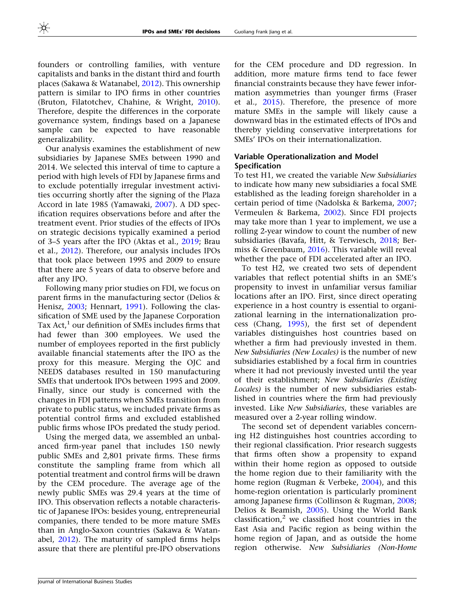founders or controlling families, with venture capitalists and banks in the distant third and fourth places (Sakawa & Watanabel, [2012](#page-22-0)). This ownership pattern is similar to IPO firms in other countries (Bruton, Filatotchev, Chahine, & Wright, [2010\)](#page-20-0). Therefore, despite the differences in the corporate governance system, findings based on a Japanese sample can be expected to have reasonable generalizability.

Our analysis examines the establishment of new subsidiaries by Japanese SMEs between 1990 and 2014. We selected this interval of time to capture a period with high levels of FDI by Japanese firms and to exclude potentially irregular investment activities occurring shortly after the signing of the Plaza Accord in late 1985 (Yamawaki, [2007\)](#page-22-0). A DD specification requires observations before and after the treatment event. Prior studies of the effects of IPOs on strategic decisions typically examined a period of 3–5 years after the IPO (Aktas et al., [2019;](#page-19-0) Brau et al., [2012\)](#page-20-0). Therefore, our analysis includes IPOs that took place between 1995 and 2009 to ensure that there are 5 years of data to observe before and after any IPO.

Following many prior studies on FDI, we focus on parent firms in the manufacturing sector (Delios & Henisz, [2003](#page-20-0); Hennart, [1991](#page-21-0)). Following the classification of SME used by the Japanese Corporation Tax Act, $<sup>1</sup>$  our definition of SMEs includes firms that</sup> had fewer than 300 employees. We used the number of employees reported in the first publicly available financial statements after the IPO as the proxy for this measure. Merging the OJC and NEEDS databases resulted in 150 manufacturing SMEs that undertook IPOs between 1995 and 2009. Finally, since our study is concerned with the changes in FDI patterns when SMEs transition from private to public status, we included private firms as potential control firms and excluded established public firms whose IPOs predated the study period.

Using the merged data, we assembled an unbalanced firm-year panel that includes 150 newly public SMEs and 2,801 private firms. These firms constitute the sampling frame from which all potential treatment and control firms will be drawn by the CEM procedure. The average age of the newly public SMEs was 29.4 years at the time of IPO. This observation reflects a notable characteristic of Japanese IPOs: besides young, entrepreneurial companies, there tended to be more mature SMEs than in Anglo-Saxon countries (Sakawa & Watanabel, [2012](#page-22-0)). The maturity of sampled firms helps assure that there are plentiful pre-IPO observations

for the CEM procedure and DD regression. In addition, more mature firms tend to face fewer financial constraints because they have fewer information asymmetries than younger firms (Fraser et al., [2015\)](#page-20-0). Therefore, the presence of more mature SMEs in the sample will likely cause a downward bias in the estimated effects of IPOs and thereby yielding conservative interpretations for SMEs' IPOs on their internationalization.

# Variable Operationalization and Model Specification

To test H1, we created the variable New Subsidiaries to indicate how many new subsidiaries a focal SME established as the leading foreign shareholder in a certain period of time (Nadolska & Barkema, [2007;](#page-21-0) Vermeulen & Barkema, [2002\)](#page-22-0). Since FDI projects may take more than 1 year to implement, we use a rolling 2-year window to count the number of new subsidiaries (Bavafa, Hitt, & Terwiesch, [2018](#page-20-0); Bermiss & Greenbaum, [2016\)](#page-20-0). This variable will reveal whether the pace of FDI accelerated after an IPO.

To test H2, we created two sets of dependent variables that reflect potential shifts in an SME's propensity to invest in unfamiliar versus familiar locations after an IPO. First, since direct operating experience in a host country is essential to organizational learning in the internationalization process (Chang, [1995](#page-20-0)), the first set of dependent variables distinguishes host countries based on whether a firm had previously invested in them. New Subsidiaries (New Locales) is the number of new subsidiaries established by a focal firm in countries where it had not previously invested until the year of their establishment; New Subsidiaries (Existing Locales) is the number of new subsidiaries established in countries where the firm had previously invested. Like New Subsidiaries, these variables are measured over a 2-year rolling window.

The second set of dependent variables concerning H2 distinguishes host countries according to their regional classification. Prior research suggests that firms often show a propensity to expand within their home region as opposed to outside the home region due to their familiarity with the home region (Rugman & Verbeke, [2004](#page-22-0)), and this home-region orientation is particularly prominent among Japanese firms (Collinson & Rugman, [2008;](#page-20-0) Delios & Beamish, [2005](#page-20-0)). Using the World Bank classification, $^2$  we classified host countries in the East Asia and Pacific region as being within the home region of Japan, and as outside the home region otherwise. New Subsidiaries (Non-Home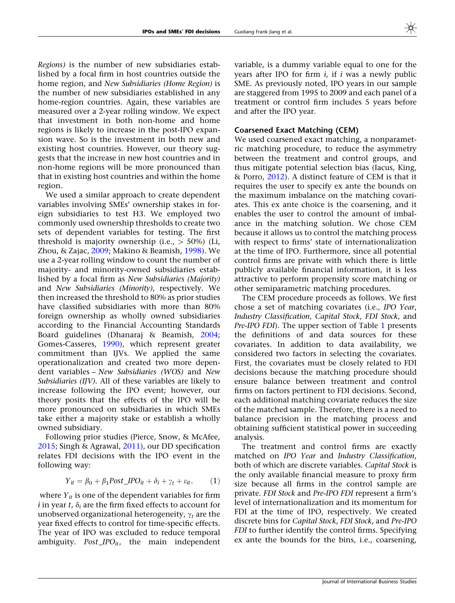<span id="page-10-0"></span>Regions) is the number of new subsidiaries established by a focal firm in host countries outside the home region, and New Subsidiaries (Home Region) is the number of new subsidiaries established in any home-region countries. Again, these variables are measured over a 2-year rolling window. We expect that investment in both non-home and home regions is likely to increase in the post-IPO expansion wave. So is the investment in both new and existing host countries. However, our theory suggests that the increase in new host countries and in non-home regions will be more pronounced than that in existing host countries and within the home region.

We used a similar approach to create dependent variables involving SMEs' ownership stakes in foreign subsidiaries to test H3. We employed two commonly used ownership thresholds to create two sets of dependent variables for testing. The first threshold is majority ownership (i.e.,  $> 50\%$ ) (Li, Zhou, & Zajac, [2009](#page-21-0); Makino & Beamish, [1998](#page-21-0)). We use a 2-year rolling window to count the number of majority- and minority-owned subsidiaries established by a focal firm as New Subsidiaries (Majority) and New Subsidiaries (Minority), respectively. We then increased the threshold to 80% as prior studies have classified subsidiaries with more than 80% foreign ownership as wholly owned subsidiaries according to the Financial Accounting Standards Board guidelines (Dhanaraj & Beamish, [2004;](#page-20-0) Gomes-Casseres, [1990\)](#page-21-0), which represent greater commitment than IJVs. We applied the same operationalization and created two more dependent variables – New Subsidiaries (WOS) and New Subsidiaries (IJV). All of these variables are likely to increase following the IPO event; however, our theory posits that the effects of the IPO will be more pronounced on subsidiaries in which SMEs take either a majority stake or establish a wholly owned subsidiary.

Following prior studies (Pierce, Snow, & McAfee, [2015;](#page-21-0) Singh & Agrawal,  $2011$ ), our DD specification relates FDI decisions with the IPO event in the following way:

$$
Y_{it} = \beta_0 + \beta_1 Post\_IPO_{it} + \delta_i + \gamma_t + \varepsilon_{it}, \qquad (1)
$$

where  $Y_{it}$  is one of the dependent variables for firm *i* in year *t*,  $\delta_i$  are the firm fixed effects to account for unobserved organizational heterogeneity,  $\gamma_t$  are the year fixed effects to control for time-specific effects. The year of IPO was excluded to reduce temporal ambiguity. Post  $IPO_{it}$ , the main independent variable, is a dummy variable equal to one for the years after IPO for firm  $i$ , if  $i$  was a newly public SME. As previously noted, IPO years in our sample are staggered from 1995 to 2009 and each panel of a treatment or control firm includes 5 years before and after the IPO year.

## Coarsened Exact Matching (CEM)

We used coarsened exact matching, a nonparametric matching procedure, to reduce the asymmetry between the treatment and control groups, and thus mitigate potential selection bias (Iacus, King, & Porro, [2012\)](#page-21-0). A distinct feature of CEM is that it requires the user to specify ex ante the bounds on the maximum imbalance on the matching covariates. This ex ante choice is the coarsening, and it enables the user to control the amount of imbalance in the matching solution. We chose CEM because it allows us to control the matching process with respect to firms' state of internationalization at the time of IPO. Furthermore, since all potential control firms are private with which there is little publicly available financial information, it is less attractive to perform propensity score matching or other semiparametric matching procedures.

The CEM procedure proceeds as follows. We first chose a set of matching covariates (i.e., IPO Year, Industry Classification, Capital Stock, FDI Stock, and Pre-IPO FDI). The upper section of Table [1](#page-11-0) presents the definitions of and data sources for these covariates. In addition to data availability, we considered two factors in selecting the covariates. First, the covariates must be closely related to FDI decisions because the matching procedure should ensure balance between treatment and control firms on factors pertinent to FDI decisions. Second, each additional matching covariate reduces the size of the matched sample. Therefore, there is a need to balance precision in the matching process and obtaining sufficient statistical power in succeeding analysis.

The treatment and control firms are exactly matched on IPO Year and Industry Classification, both of which are discrete variables. Capital Stock is the only available financial measure to proxy firm size because all firms in the control sample are private. FDI Stock and Pre-IPO FDI represent a firm's level of internationalization and its momentum for FDI at the time of IPO, respectively. We created discrete bins for Capital Stock, FDI Stock, and Pre-IPO FDI to further identify the control firms. Specifying ex ante the bounds for the bins, i.e., coarsening,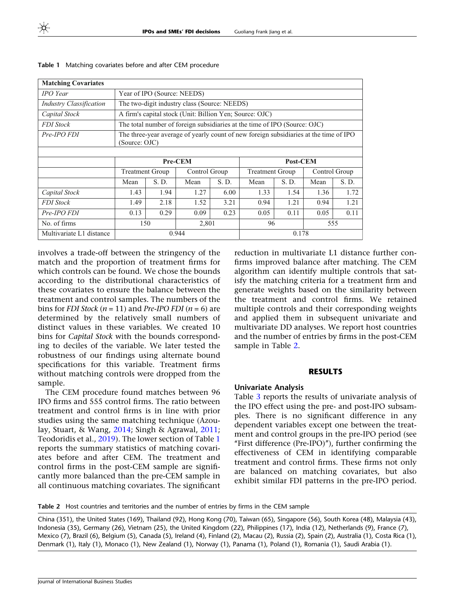| <b>Matching Covariates</b>     |                              |                                                                                                        |                                                         |      |                                                                           |          |      |               |
|--------------------------------|------------------------------|--------------------------------------------------------------------------------------------------------|---------------------------------------------------------|------|---------------------------------------------------------------------------|----------|------|---------------|
| <b>IPO</b> Year                |                              | Year of IPO (Source: NEEDS)                                                                            |                                                         |      |                                                                           |          |      |               |
| <b>Industry Classification</b> |                              |                                                                                                        | The two-digit industry class (Source: NEEDS)            |      |                                                                           |          |      |               |
| Capital Stock                  |                              |                                                                                                        | A firm's capital stock (Unit: Billion Yen; Source: OJC) |      |                                                                           |          |      |               |
| <b>FDI</b> Stock               |                              |                                                                                                        |                                                         |      | The total number of foreign subsidiaries at the time of IPO (Source: OJC) |          |      |               |
| Pre-IPO FDI                    |                              | The three-year average of yearly count of new foreign subsidiaries at the time of IPO<br>(Source: OJC) |                                                         |      |                                                                           |          |      |               |
|                                |                              |                                                                                                        |                                                         |      |                                                                           |          |      |               |
|                                |                              |                                                                                                        | Pre-CEM                                                 |      |                                                                           | Post-CEM |      |               |
|                                |                              | <b>Treatment Group</b>                                                                                 | Control Group                                           |      | <b>Treatment Group</b>                                                    |          |      | Control Group |
|                                | S.D.<br>S.D.<br>Mean<br>Mean |                                                                                                        |                                                         |      | Mean                                                                      | S. D.    | Mean | S. D.         |
| Capital Stock                  | 1.43                         | 1.94                                                                                                   | 1.27                                                    | 6.00 | 1.33                                                                      | 1.54     | 1.36 | 1.72          |
| <b>FDI</b> Stock               | 1.49                         | 2.18                                                                                                   | 1.52                                                    | 3.21 | 0.94                                                                      | 1.21     | 0.94 | 1.21          |
| Pre-IPO FDI                    | 0.13                         | 0.29                                                                                                   | 0.09                                                    | 0.23 | 0.05                                                                      | 0.11     | 0.05 | 0.11          |
| No. of firms                   |                              | 150                                                                                                    | 2,801                                                   |      | 96<br>555                                                                 |          |      |               |
| Multivariate L1 distance       |                              |                                                                                                        | 0.944                                                   |      | 0.178                                                                     |          |      |               |

<span id="page-11-0"></span>Table 1 Matching covariates before and after CEM procedure

involves a trade-off between the stringency of the match and the proportion of treatment firms for which controls can be found. We chose the bounds according to the distributional characteristics of these covariates to ensure the balance between the treatment and control samples. The numbers of the bins for FDI Stock ( $n = 11$ ) and Pre-IPO FDI ( $n = 6$ ) are determined by the relatively small numbers of distinct values in these variables. We created 10 bins for Capital Stock with the bounds corresponding to deciles of the variable. We later tested the robustness of our findings using alternate bound specifications for this variable. Treatment firms without matching controls were dropped from the sample.

The CEM procedure found matches between 96 IPO firms and 555 control firms. The ratio between treatment and control firms is in line with prior studies using the same matching technique (Azoulay, Stuart, & Wang, [2014](#page-20-0); Singh & Agrawal, [2011;](#page-22-0) Teodoridis et al., [2019](#page-22-0)). The lower section of Table 1 reports the summary statistics of matching covariates before and after CEM. The treatment and control firms in the post-CEM sample are significantly more balanced than the pre-CEM sample in all continuous matching covariates. The significant reduction in multivariate L1 distance further confirms improved balance after matching. The CEM algorithm can identify multiple controls that satisfy the matching criteria for a treatment firm and generate weights based on the similarity between the treatment and control firms. We retained multiple controls and their corresponding weights and applied them in subsequent univariate and multivariate DD analyses. We report host countries and the number of entries by firms in the post-CEM sample in Table 2.

### RESULTS

## Univariate Analysis

Table [3](#page-12-0) reports the results of univariate analysis of the IPO effect using the pre- and post-IPO subsamples. There is no significant difference in any dependent variables except one between the treatment and control groups in the pre-IPO period (see ''First difference (Pre-IPO)''), further confirming the effectiveness of CEM in identifying comparable treatment and control firms. These firms not only are balanced on matching covariates, but also exhibit similar FDI patterns in the pre-IPO period.

Table 2 Host countries and territories and the number of entries by firms in the CEM sample

China (351), the United States (169), Thailand (92), Hong Kong (70), Taiwan (65), Singapore (56), South Korea (48), Malaysia (43), Indonesia (35), Germany (26), Vietnam (25), the United Kingdom (22), Philippines (17), India (12), Netherlands (9), France (7), Mexico (7), Brazil (6), Belgium (5), Canada (5), Ireland (4), Finland (2), Macau (2), Russia (2), Spain (2), Australia (1), Costa Rica (1), Denmark (1), Italy (1), Monaco (1), New Zealand (1), Norway (1), Panama (1), Poland (1), Romania (1), Saudi Arabia (1).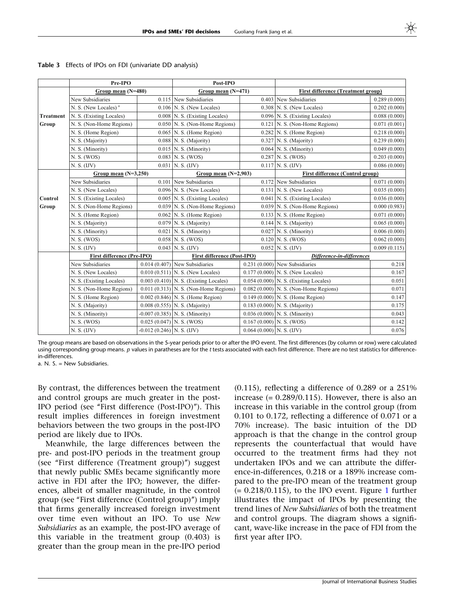|                  | Pre-IPO                          |                             | Post-IPO                                   |                            |                                           |              |
|------------------|----------------------------------|-----------------------------|--------------------------------------------|----------------------------|-------------------------------------------|--------------|
|                  | Group mean (N=480)               |                             | Group mean (N=471)                         |                            | <b>First difference (Treatment group)</b> |              |
|                  | New Subsidiaries                 |                             | $0.115$ New Subsidiaries                   |                            | $0.403$ New Subsidiaries                  | 0.289(0.000) |
|                  | N. S. (New Locales) <sup>a</sup> |                             | $0.106$ N. S. (New Locales)                |                            | $0.308$ N. S. (New Locales)               | 0.202(0.000) |
| <b>Treatment</b> | N. S. (Existing Locales)         |                             | $0.008$ N. S. (Existing Locales)           |                            | 0.096 N. S. (Existing Locales)            | 0.088(0.000) |
| Group            | N. S. (Non-Home Regions)         |                             | $0.050$ N. S. (Non-Home Regions)           |                            | 0.121 N. S. (Non-Home Regions)            | 0.071(0.001) |
|                  | N. S. (Home Region)              |                             | $0.065$ N. S. (Home Region)                |                            | $0.282$ N. S. (Home Region)               | 0.218(0.000) |
|                  | N. S. (Majority)                 |                             | $0.088$ N. S. (Majority)                   |                            | $0.327$ N. S. (Majority)                  | 0.239(0.000) |
|                  | N. S. (Minority)                 |                             | 0.015 N. S. (Minority)                     |                            | $0.064$ N. S. (Minority)                  | 0.049(0.000) |
|                  | N. S. (WOS)                      |                             | $0.083$ N. S. (WOS)                        |                            | $0.287$ N. S. (WOS)                       | 0.203(0.000) |
|                  | N. S. (IV)                       |                             | $0.031$ N. S. (IJV)                        |                            | $0.117$ N. S. (IJV)                       | 0.086(0.000) |
|                  | Group mean $(N=3,250)$           |                             | Group mean $(N=2,903)$                     |                            | <b>First difference (Control group)</b>   |              |
|                  | New Subsidiaries                 | 0.101                       | New Subsidiaries                           |                            | $0.172$ New Subsidiaries                  | 0.071(0.000) |
|                  | N. S. (New Locales)              |                             | $0.096$ N. S. (New Locales)                |                            | $0.131$ N. S. (New Locales)               | 0.035(0.000) |
| Control          | N. S. (Existing Locales)         |                             | 0.005 N. S. (Existing Locales)             |                            | $0.041$ N. S. (Existing Locales)          | 0.036(0.000) |
| Group            | N. S. (Non-Home Regions)         |                             | $0.039$ N. S. (Non-Home Regions)           |                            | $0.039$ N. S. (Non-Home Regions)          | 0.000(0.983) |
|                  | N. S. (Home Region)              |                             | $0.062$ N. S. (Home Region)                |                            | $0.133$ N. S. (Home Region)               | 0.071(0.000) |
|                  | N. S. (Majority)                 |                             | $0.079$ N. S. (Majority)                   |                            | $0.144$ N. S. (Majority)                  | 0.065(0.000) |
|                  | N. S. (Minority)                 |                             | $0.021$ N. S. (Minority)                   |                            | $0.027$ N. S. (Minority)                  | 0.006(0.000) |
|                  | N. S. (WOS)                      |                             | $0.058$ N. S. (WOS)                        |                            | $0.120$ N. S. (WOS)                       | 0.062(0.000) |
|                  | N. S. (IV)                       |                             | $0.043$ N. S. (IJV)                        |                            | $0.052$ N. S. (IJV)                       | 0.009(0.115) |
|                  | First difference (Pre-IPO)       |                             | <b>First difference (Post-IPO)</b>         |                            | Difference-in-differences                 |              |
|                  | New Subsidiaries                 |                             | $0.014(0.407)$ New Subsidiaries            |                            | $0.231(0.000)$ New Subsidiaries           | 0.218        |
|                  | N. S. (New Locales)              |                             | $0.010(0.511)$ N. S. (New Locales)         |                            | $0.177(0.000)$ N. S. (New Locales)        | 0.167        |
|                  | N. S. (Existing Locales)         |                             | $0.003$ $(0.410)$ N. S. (Existing Locales) |                            | $0.054(0.000)$ N. S. (Existing Locales)   | 0.051        |
|                  | N. S. (Non-Home Regions)         |                             | $0.011(0.313)$ N. S. (Non-Home Regions)    |                            | $0.082(0.000)$ N. S. (Non-Home Regions)   | 0.071        |
|                  | N. S. (Home Region)              |                             | $0.002$ (0.846) N. S. (Home Region)        |                            | $0.149(0.000)$ N. S. (Home Region)        | 0.147        |
|                  | N. S. (Majority)                 |                             | $0.008$ (0.555) N. S. (Majority)           |                            | $0.183(0.000)$ N. S. (Majority)           | 0.175        |
|                  | N. S. (Minority)                 |                             | $-0.007(0.385)$ N. S. (Minority)           |                            | $0.036(0.000)$ N. S. (Minority)           | 0.043        |
|                  | N. S. (WOS)                      | $0.025(0.047)$ N. S. (WOS)  |                                            |                            | $0.167(0.000)$ N. S. (WOS)                | 0.142        |
|                  | N. S. (IJV)                      | $-0.012(0.246)$ N. S. (IJV) |                                            | $0.064(0.000)$ N. S. (IJV) |                                           | 0.076        |

<span id="page-12-0"></span>Table 3 Effects of IPOs on FDI (univariate DD analysis)

The group means are based on observations in the 5-year periods prior to or after the IPO event. The first differences (by column or row) were calculated using corresponding group means. p values in paratheses are for the t tests associated with each first difference. There are no test statistics for differencein-differences.

a. N. S. = New Subsidiaries.

By contrast, the differences between the treatment and control groups are much greater in the post-IPO period (see ''First difference (Post-IPO)''). This result implies differences in foreign investment behaviors between the two groups in the post-IPO period are likely due to IPOs.

Meanwhile, the large differences between the pre- and post-IPO periods in the treatment group (see ''First difference (Treatment group)'') suggest that newly public SMEs became significantly more active in FDI after the IPO; however, the differences, albeit of smaller magnitude, in the control group (see ''First difference (Control group)'') imply that firms generally increased foreign investment over time even without an IPO. To use New Subsidiaries as an example, the post-IPO average of this variable in the treatment group (0.403) is greater than the group mean in the pre-IPO period

(0.115), reflecting a difference of 0.289 or a 251% increase  $(= 0.289/0.115)$ . However, there is also an increase in this variable in the control group (from 0.101 to 0.172, reflecting a difference of 0.071 or a 70% increase). The basic intuition of the DD approach is that the change in the control group represents the counterfactual that would have occurred to the treatment firms had they not undertaken IPOs and we can attribute the difference-in-differences, 0.218 or a 189% increase compared to the pre-IPO mean of the treatment group  $(= 0.218/0.115)$  $(= 0.218/0.115)$  $(= 0.218/0.115)$ , to the IPO event. Figure 1 further illustrates the impact of IPOs by presenting the trend lines of New Subsidiaries of both the treatment and control groups. The diagram shows a significant, wave-like increase in the pace of FDI from the first year after IPO.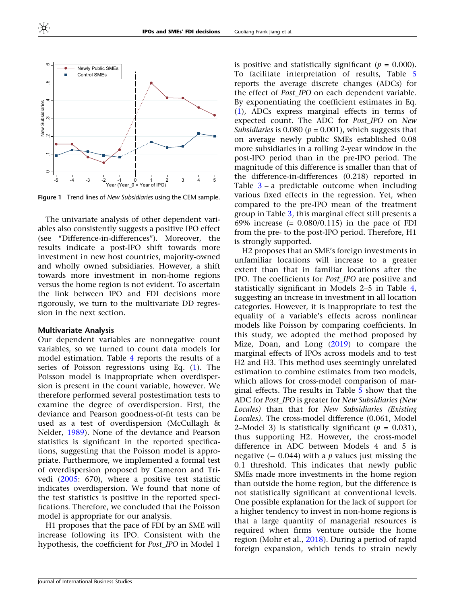<span id="page-13-0"></span>

Figure 1 Trend lines of New Subsidiaries using the CEM sample.

The univariate analysis of other dependent variables also consistently suggests a positive IPO effect (see ''Difference-in-differences''). Moreover, the results indicate a post-IPO shift towards more investment in new host countries, majority-owned and wholly owned subsidiaries. However, a shift towards more investment in non-home regions versus the home region is not evident. To ascertain the link between IPO and FDI decisions more rigorously, we turn to the multivariate DD regression in the next section.

## Multivariate Analysis

Our dependent variables are nonnegative count variables, so we turned to count data models for model estimation. Table [4](#page-14-0) reports the results of a series of Poisson regressions using Eq. [\(1\)](#page-10-0). The Poisson model is inappropriate when overdispersion is present in the count variable, however. We therefore performed several postestimation tests to examine the degree of overdispersion. First, the deviance and Pearson goodness-of-fit tests can be used as a test of overdispersion (McCullagh & Nelder, [1989\)](#page-21-0). None of the deviance and Pearson statistics is significant in the reported specifications, suggesting that the Poisson model is appropriate. Furthermore, we implemented a formal test of overdispersion proposed by Cameron and Trivedi [\(2005:](#page-20-0) 670), where a positive test statistic indicates overdispersion. We found that none of the test statistics is positive in the reported specifications. Therefore, we concluded that the Poisson model is appropriate for our analysis.

H1 proposes that the pace of FDI by an SME will increase following its IPO. Consistent with the hypothesis, the coefficient for Post\_IPO in Model 1

is positive and statistically significant ( $p = 0.000$ ). To facilitate interpretation of results, Table [5](#page-15-0) reports the average discrete changes (ADCs) for the effect of Post\_IPO on each dependent variable. By exponentiating the coefficient estimates in Eq. [\(1](#page-10-0)), ADCs express marginal effects in terms of expected count. The ADC for Post\_IPO on New Subsidiaries is 0.080 ( $p = 0.001$ ), which suggests that on average newly public SMEs established 0.08 more subsidiaries in a rolling 2-year window in the post-IPO period than in the pre-IPO period. The magnitude of this difference is smaller than that of the difference-in-differences (0.218) reported in Table  $3 - a$  $3 - a$  predictable outcome when including various fixed effects in the regression. Yet, when compared to the pre-IPO mean of the treatment group in Table [3](#page-12-0), this marginal effect still presents a 69% increase  $(= 0.080/0.115)$  in the pace of FDI from the pre- to the post-IPO period. Therefore, H1 is strongly supported.

H2 proposes that an SME's foreign investments in unfamiliar locations will increase to a greater extent than that in familiar locations after the IPO. The coefficients for Post\_IPO are positive and statistically significant in Models 2–5 in Table [4,](#page-14-0) suggesting an increase in investment in all location categories. However, it is inappropriate to test the equality of a variable's effects across nonlinear models like Poisson by comparing coefficients. In this study, we adopted the method proposed by Mize, Doan, and Long [\(2019\)](#page-21-0) to compare the marginal effects of IPOs across models and to test H2 and H3. This method uses seemingly unrelated estimation to combine estimates from two models, which allows for cross-model comparison of marginal effects. The results in Table [5](#page-15-0) show that the ADC for Post IPO is greater for New Subsidiaries (New Locales) than that for New Subsidiaries (Existing Locales). The cross-model difference (0.061, Model 2–Model 3) is statistically significant ( $p = 0.031$ ), thus supporting H2. However, the cross-model difference in ADC between Models 4 and 5 is negative  $(-0.044)$  with a p values just missing the 0.1 threshold. This indicates that newly public SMEs made more investments in the home region than outside the home region, but the difference is not statistically significant at conventional levels. One possible explanation for the lack of support for a higher tendency to invest in non-home regions is that a large quantity of managerial resources is required when firms venture outside the home region (Mohr et al., [2018](#page-21-0)). During a period of rapid foreign expansion, which tends to strain newly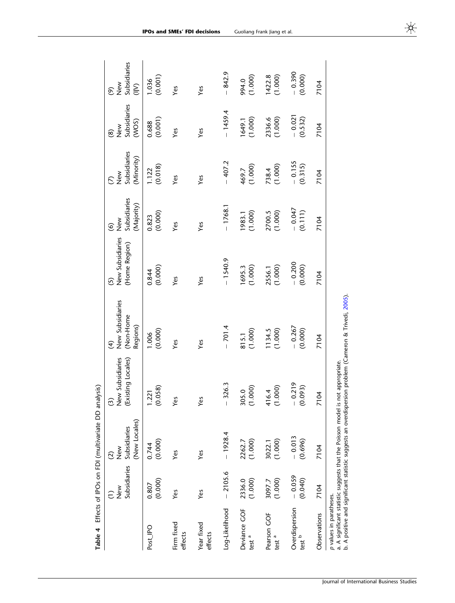<span id="page-14-0"></span>

| Table 4                           |                          | Effects of IPOs on FDI (multivariate DD analysis)             |                                                                                                                                                                                                                                                                                                                                                                                           |                                                            |                                        |                                                              |                                   |                                        |                                                                     |
|-----------------------------------|--------------------------|---------------------------------------------------------------|-------------------------------------------------------------------------------------------------------------------------------------------------------------------------------------------------------------------------------------------------------------------------------------------------------------------------------------------------------------------------------------------|------------------------------------------------------------|----------------------------------------|--------------------------------------------------------------|-----------------------------------|----------------------------------------|---------------------------------------------------------------------|
|                                   | Subsidiaries<br>New<br>ĉ | (New Locales)<br>Subsidiaries<br>New<br>Z<br>$\widehat{c}$    | <b>Jew Subsidiaries</b><br>Existing Locales)<br>స్                                                                                                                                                                                                                                                                                                                                        | New Subsidiaries<br>(Non-Home<br>Regions)<br>$\widehat{t}$ | New Subsidiaries<br>(Home Region)<br>5 | New<br>Subsidiaries<br>(Majority)<br>$\widehat{\mathcal{C}}$ | New<br>Subsidiaries<br>(Minority) | Subsidiaries<br>(WOS)<br>New<br>Z<br>ඔ | New<br>Subsidiaries<br>$\sum_{i=1}^{n}$<br>$\widehat{\mathfrak{G}}$ |
| Post_IPO                          | (0.000)<br>0.807         | (0.000)<br>0.744                                              | (0.058)<br> .221                                                                                                                                                                                                                                                                                                                                                                          | (0.000)<br>1.006                                           | (0.000)<br>0.844                       | (0.000)<br>0.823                                             | (0.018)<br>1.122                  | $(0.688)$<br>$(0.001)$                 | (0.001)<br>1.036                                                    |
| Firm fixed<br>effects             | Yes                      | Yes                                                           | Yes                                                                                                                                                                                                                                                                                                                                                                                       | Yes                                                        | Yes                                    | Yes                                                          | Yes                               | Yes                                    | Yes                                                                 |
| Year fixed<br>effects             | Yes                      | Yes                                                           | Yes                                                                                                                                                                                                                                                                                                                                                                                       | Yes                                                        | Yes                                    | Yes                                                          | Yes                               | Yes                                    | Yes                                                                 |
| Log-Likelihood                    | $-2105.6$                | $-1928.4$                                                     | 326.3<br>$\begin{array}{c} \rule{0pt}{2.5ex} \rule{0pt}{2.5ex} \rule{0pt}{2.5ex} \rule{0pt}{2.5ex} \rule{0pt}{2.5ex} \rule{0pt}{2.5ex} \rule{0pt}{2.5ex} \rule{0pt}{2.5ex} \rule{0pt}{2.5ex} \rule{0pt}{2.5ex} \rule{0pt}{2.5ex} \rule{0pt}{2.5ex} \rule{0pt}{2.5ex} \rule{0pt}{2.5ex} \rule{0pt}{2.5ex} \rule{0pt}{2.5ex} \rule{0pt}{2.5ex} \rule{0pt}{2.5ex} \rule{0pt}{2.5ex} \rule{0$ | $-701.4$                                                   | $-1540.9$                              | $-1768.1$                                                    | $-407.2$                          | $-1459.4$                              | $-842.9$                                                            |
| Deviance GOF<br>test <sup>a</sup> | 2336.0<br>(1.000)        | (1.000)<br>2262.7                                             | (1.000)<br>305.0                                                                                                                                                                                                                                                                                                                                                                          | 815.1<br>(1.000)                                           | 1695.3<br>(1.000)                      | (1.000)<br>1983.1                                            | (1.000)<br>469.7                  | (1.000)<br>1649.1                      | (1.000)<br>994.0                                                    |
| Pearson GOF<br>test <sup>a</sup>  | (1.000)<br>3097.7        | (1.000)<br>3022.1                                             | (000, 1)<br>416.4                                                                                                                                                                                                                                                                                                                                                                         | (1.000)<br>1134.5                                          | (1.000)<br>2556.1                      | (1.000)<br>2700.5                                            | (1.000)<br>738.4                  | 2336.6<br>(1.000)                      | (1.000)<br>1422.8                                                   |
| Overdispersion<br>test b          | $-0.059$<br>(0.040)      | $-0.013$<br>(0.696)                                           | $-0.219$<br>(0.093)                                                                                                                                                                                                                                                                                                                                                                       | $-0.267$<br>(0.000)                                        | $-0.200$<br>(0.000)                    | $-0.047$<br>(0.111)                                          | $-0.155$<br>(0.315)               | $-0.021$<br>(0.532)                    | $-0.390$<br>(0.000)                                                 |
| Observations                      | 7104                     | 7104                                                          | 7104                                                                                                                                                                                                                                                                                                                                                                                      | 7104                                                       | 7104                                   | 7104                                                         | 7104                              | 7104                                   | 7104                                                                |
| p values in paratheses.<br>.<br>ف |                          | a. A significant statistic suggests that the Poisson model is | A positive and significant statistic suggests an overdispersion problem (Cameron & Trivedi, 2005).<br>not appropriate.                                                                                                                                                                                                                                                                    |                                                            |                                        |                                                              |                                   |                                        |                                                                     |

**IPOs and SMEs' FDI decisions** Guoliang Frank Jiang et al.

米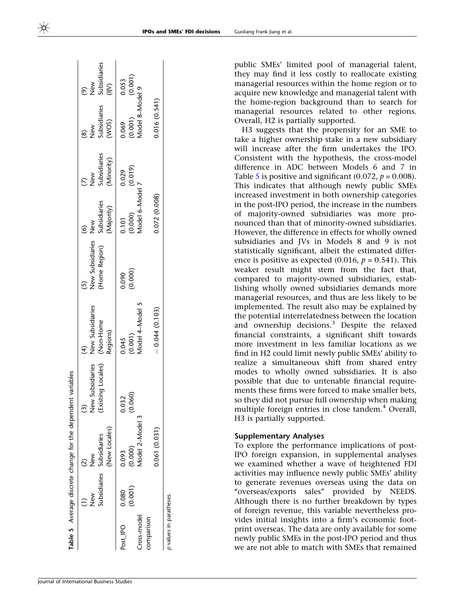<span id="page-15-0"></span>

|                           |                  | Table 5 Average discrete change for the dependent variables |                                             |                                           |                                         |                                                     |                                          |                                                 |                                                 |
|---------------------------|------------------|-------------------------------------------------------------|---------------------------------------------|-------------------------------------------|-----------------------------------------|-----------------------------------------------------|------------------------------------------|-------------------------------------------------|-------------------------------------------------|
|                           | $rac{8}{5}$      | (New Locales)<br>Subsidiaries Subsidiaries<br>New<br>Z      | Subsidiaries<br>(Existing Locales)<br>vew ? | New Subsidiaries<br>(Non-Home<br>Regions) | Home Region)<br><b>Jew Subsidiaries</b> | Subsidiaries<br>(Majority)<br>New<br>$\hat{\Theta}$ | (7)<br>New<br>Subsidiaries<br>(Minority) | New<br>Subsidiaries<br>(WOS)                    | Subsidiaries<br>(IJV)<br>New                    |
| Post_IPO                  | (0.001)<br>0.080 | (0.000)<br>0.093                                            | 0.032<br>(0.060)                            | 0.045<br>(0.001)<br>Model 4–Model 5       | (0.000)                                 | 0.101                                               | (0.019)<br>0.029                         | 0.069 0.05:<br>(0.001) (0.00<br>Model 8–Model 9 | $\begin{array}{c} 0.053 \\ (0.001) \end{array}$ |
| cross-model<br>comparison |                  | Vlodel 2-Model 3                                            |                                             |                                           |                                         | (0.000)<br>Model 6–Model 7<br>Model 6–Model 7       |                                          |                                                 |                                                 |
|                           |                  | 0.061(0.031)                                                |                                             | $-0.044(0.103)$                           |                                         | 0.072 (0.008)                                       |                                          | 0.016 (0.541)                                   |                                                 |
| p values in paratheses.   |                  |                                                             |                                             |                                           |                                         |                                                     |                                          |                                                 |                                                 |

public SMEs' limited pool of managerial talent, they may find it less costly to reallocate existing managerial resources within the home region or to acquire new knowledge and managerial talent with the home-region background than to search for managerial resources related to other regions. Overall, H2 is partially supported.

H3 suggests that the propensity for an SME to take a higher ownership stake in a new subsidiary will increase after the firm undertakes the IPO. Consistent with the hypothesis, the cross-model difference in ADC between Models 6 and 7 in Table 5 is positive and significant (0.072,  $p = 0.008$ ). This indicates that although newly public SMEs increased investment in both ownership categories in the post-IPO period, the increase in the numbers of majority-owned subsidiaries was more pronounced than that of minority-owned subsidiaries. However, the difference in effects for wholly owned subsidiaries and JVs in Models 8 and 9 is not statistically significant, albeit the estimated difference is positive as expected (0.016,  $p = 0.541$ ). This weaker result might stem from the fact that, compared to majority-owned subsidiaries, establishing wholly owned subsidiaries demands more managerial resources, and thus are less likely to be implemented. The result also may be explained by the potential interrelatedness between the location and ownership decisions.3 Despite the relaxed financial constraints, a significant shift towards more investment in less familiar locations as we find in H2 could limit newly public SMEs' ability to realize a simultaneous shift from shared entry modes to wholly owned subsidiaries. It is also possible that due to untenable financial requirements these firms were forced to make smaller bets, so they did not pursue full ownership when making multiple foreign entries in close tandem.<sup>4</sup> Overall, H3 is partially supported.

## Supplementary Analyses

To explore the performance implications of post-IPO foreign expansion, in supplemental analyses we examined whether a wave of heightened FDI activities may influence newly public SMEs' ability to generate revenues overseas using the data on ''overseas/exports sales'' provided by NEEDS. Although there is no further breakdown by types of foreign revenue, this variable nevertheless provides initial insights into a firm's economic footprint overseas. The data are only available for some newly public SMEs in the post-IPO period and thus we are not able to match with SMEs that remained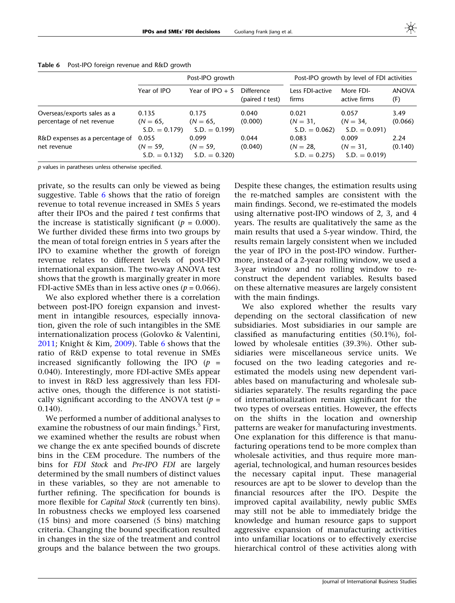|                                                          |                                       | Post-IPO growth                       |                               |                                         | Post-IPO growth by level of FDI activities |                     |
|----------------------------------------------------------|---------------------------------------|---------------------------------------|-------------------------------|-----------------------------------------|--------------------------------------------|---------------------|
|                                                          | Year of IPO                           | Year of IPO $+5$                      | Difference<br>(paired t test) | Less FDI-active<br>firms                | More FDI-<br>active firms                  | <b>ANOVA</b><br>(F) |
| Overseas/exports sales as a<br>percentage of net revenue | 0.135<br>$(N = 65,$<br>$S.D. = 0.179$ | 0.175<br>$(N = 65,$<br>$S.D. = 0.199$ | 0.040<br>(0.000)              | 0.021<br>$(N = 31)$<br>$S.D. = 0.062$   | 0.057<br>$(N = 34,$<br>$S.D. = 0.091$      | 3.49<br>(0.066)     |
| R&D expenses as a percentage of<br>net revenue           | 0.055<br>$(N = 59,$<br>$S.D. = 0.132$ | 0.099<br>$(N = 59,$<br>$S.D. = 0.320$ | 0.044<br>(0.040)              | 0.083<br>$(N = 28)$ .<br>$S.D. = 0.275$ | 0.009<br>$(N = 31,$<br>$S.D. = 0.019$      | 2.24<br>(0.140)     |

Table 6 Post-IPO foreign revenue and R&D growth

p values in paratheses unless otherwise specified.

private, so the results can only be viewed as being suggestive. Table 6 shows that the ratio of foreign revenue to total revenue increased in SMEs 5 years after their IPOs and the paired  $t$  test confirms that the increase is statistically significant ( $p = 0.000$ ). We further divided these firms into two groups by the mean of total foreign entries in 5 years after the IPO to examine whether the growth of foreign revenue relates to different levels of post-IPO international expansion. The two-way ANOVA test shows that the growth is marginally greater in more FDI-active SMEs than in less active ones ( $p = 0.066$ ).

We also explored whether there is a correlation between post-IPO foreign expansion and investment in intangible resources, especially innovation, given the role of such intangibles in the SME internationalization process (Golovko & Valentini, [2011;](#page-21-0) Knight & Kim, [2009\)](#page-21-0). Table 6 shows that the ratio of R&D expense to total revenue in SMEs increased significantly following the IPO  $(p =$ 0.040). Interestingly, more FDI-active SMEs appear to invest in R&D less aggressively than less FDIactive ones, though the difference is not statistically significant according to the ANOVA test ( $p =$ 0.140).

We performed a number of additional analyses to examine the robustness of our main findings.<sup>5</sup> First, we examined whether the results are robust when we change the ex ante specified bounds of discrete bins in the CEM procedure. The numbers of the bins for FDI Stock and Pre-IPO FDI are largely determined by the small numbers of distinct values in these variables, so they are not amenable to further refining. The specification for bounds is more flexible for *Capital Stock* (currently ten bins). In robustness checks we employed less coarsened (15 bins) and more coarsened (5 bins) matching criteria. Changing the bound specification resulted in changes in the size of the treatment and control groups and the balance between the two groups.

Despite these changes, the estimation results using the re-matched samples are consistent with the main findings. Second, we re-estimated the models using alternative post-IPO windows of 2, 3, and 4 years. The results are qualitatively the same as the main results that used a 5-year window. Third, the results remain largely consistent when we included the year of IPO in the post-IPO window. Furthermore, instead of a 2-year rolling window, we used a 3-year window and no rolling window to reconstruct the dependent variables. Results based on these alternative measures are largely consistent with the main findings.

We also explored whether the results vary depending on the sectoral classification of new subsidiaries. Most subsidiaries in our sample are classified as manufacturing entities (50.1%), followed by wholesale entities (39.3%). Other subsidiaries were miscellaneous service units. We focused on the two leading categories and reestimated the models using new dependent variables based on manufacturing and wholesale subsidiaries separately. The results regarding the pace of internationalization remain significant for the two types of overseas entities. However, the effects on the shifts in the location and ownership patterns are weaker for manufacturing investments. One explanation for this difference is that manufacturing operations tend to be more complex than wholesale activities, and thus require more managerial, technological, and human resources besides the necessary capital input. These managerial resources are apt to be slower to develop than the financial resources after the IPO. Despite the improved capital availability, newly public SMEs may still not be able to immediately bridge the knowledge and human resource gaps to support aggressive expansion of manufacturing activities into unfamiliar locations or to effectively exercise hierarchical control of these activities along with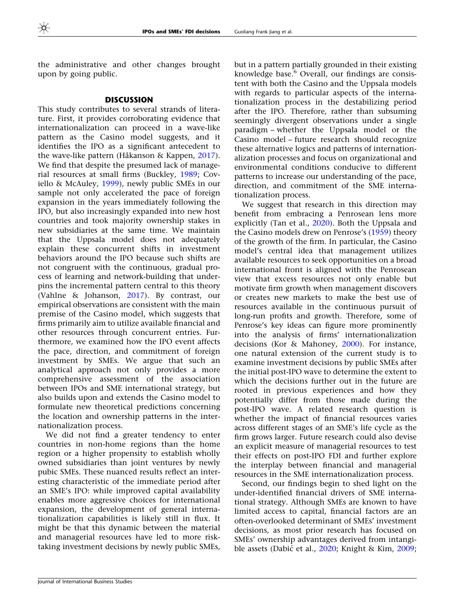the administrative and other changes brought upon by going public.

### **DISCUSSION**

This study contributes to several strands of literature. First, it provides corroborating evidence that internationalization can proceed in a wave-like pattern as the Casino model suggests, and it identifies the IPO as a significant antecedent to the wave-like pattern (Håkanson & Kappen,  $2017$ ). We find that despite the presumed lack of managerial resources at small firms (Buckley, [1989;](#page-20-0) Coviello & McAuley, [1999](#page-20-0)), newly public SMEs in our sample not only accelerated the pace of foreign expansion in the years immediately following the IPO, but also increasingly expanded into new host countries and took majority ownership stakes in new subsidiaries at the same time. We maintain that the Uppsala model does not adequately explain these concurrent shifts in investment behaviors around the IPO because such shifts are not congruent with the continuous, gradual process of learning and network-building that underpins the incremental pattern central to this theory (Vahlne & Johanson, [2017](#page-22-0)). By contrast, our empirical observations are consistent with the main premise of the Casino model, which suggests that firms primarily aim to utilize available financial and other resources through concurrent entries. Furthermore, we examined how the IPO event affects the pace, direction, and commitment of foreign investment by SMEs. We argue that such an analytical approach not only provides a more comprehensive assessment of the association between IPOs and SME international strategy, but also builds upon and extends the Casino model to formulate new theoretical predictions concerning the location and ownership patterns in the internationalization process.

We did not find a greater tendency to enter countries in non-home regions than the home region or a higher propensity to establish wholly owned subsidiaries than joint ventures by newly pubic SMEs. These nuanced results reflect an interesting characteristic of the immediate period after an SME's IPO: while improved capital availability enables more aggressive choices for international expansion, the development of general internationalization capabilities is likely still in flux. It might be that this dynamic between the material and managerial resources have led to more risktaking investment decisions by newly public SMEs,

but in a pattern partially grounded in their existing knowledge base.<sup>6</sup> Overall, our findings are consistent with both the Casino and the Uppsala models with regards to particular aspects of the internationalization process in the destabilizing period after the IPO. Therefore, rather than subsuming seemingly divergent observations under a single paradigm – whether the Uppsala model or the Casino model – future research should recognize these alternative logics and patterns of internationalization processes and focus on organizational and environmental conditions conducive to different patterns to increase our understanding of the pace, direction, and commitment of the SME internationalization process.

We suggest that research in this direction may benefit from embracing a Penrosean lens more explicitly (Tan et al., [2020\)](#page-22-0). Both the Uppsala and the Casino models drew on Penrose's ([1959\)](#page-21-0) theory of the growth of the firm. In particular, the Casino model's central idea that management utilizes available resources to seek opportunities on a broad international front is aligned with the Penrosean view that excess resources not only enable but motivate firm growth when management discovers or creates new markets to make the best use of resources available in the continuous pursuit of long-run profits and growth. Therefore, some of Penrose's key ideas can figure more prominently into the analysis of firms' internationalization decisions (Kor & Mahoney, [2000\)](#page-21-0). For instance, one natural extension of the current study is to examine investment decisions by public SMEs after the initial post-IPO wave to determine the extent to which the decisions further out in the future are rooted in previous experiences and how they potentially differ from those made during the post-IPO wave. A related research question is whether the impact of financial resources varies across different stages of an SME's life cycle as the firm grows larger. Future research could also devise an explicit measure of managerial resources to test their effects on post-IPO FDI and further explore the interplay between financial and managerial resources in the SME internationalization process.

Second, our findings begin to shed light on the under-identified financial drivers of SME international strategy. Although SMEs are known to have limited access to capital, financial factors are an often-overlooked determinant of SMEs' investment decisions, as most prior research has focused on SMEs' ownership advantages derived from intangi-ble assets (Dabić et al., [2020](#page-20-0); Knight & Kim, [2009;](#page-21-0)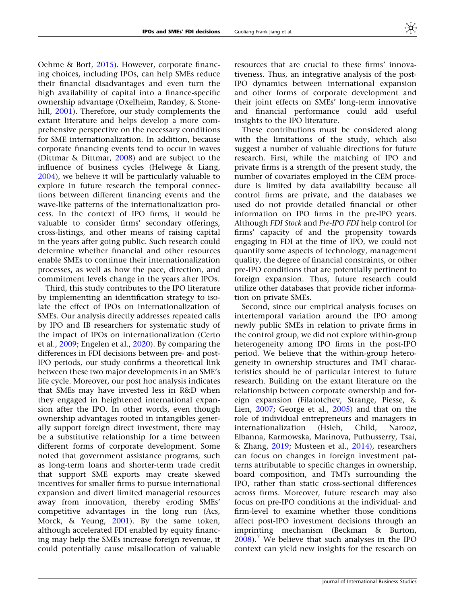Oehme & Bort, [2015](#page-21-0)). However, corporate financing choices, including IPOs, can help SMEs reduce their financial disadvantages and even turn the high availability of capital into a finance-specific ownership advantage (Oxelheim, Randøy, & Stone-hill, [2001](#page-21-0)). Therefore, our study complements the extant literature and helps develop a more comprehensive perspective on the necessary conditions for SME internationalization. In addition, because corporate financing events tend to occur in waves (Dittmar & Dittmar, [2008\)](#page-20-0) and are subject to the influence of business cycles (Helwege & Liang, [2004\)](#page-21-0), we believe it will be particularly valuable to explore in future research the temporal connections between different financing events and the wave-like patterns of the internationalization process. In the context of IPO firms, it would be valuable to consider firms' secondary offerings, cross-listings, and other means of raising capital in the years after going public. Such research could determine whether financial and other resources enable SMEs to continue their internationalization processes, as well as how the pace, direction, and commitment levels change in the years after IPOs.

Third, this study contributes to the IPO literature by implementing an identification strategy to isolate the effect of IPOs on internationalization of SMEs. Our analysis directly addresses repeated calls by IPO and IB researchers for systematic study of the impact of IPOs on internationalization (Certo et al., [2009;](#page-20-0) Engelen et al., [2020\)](#page-20-0). By comparing the differences in FDI decisions between pre- and post-IPO periods, our study confirms a theoretical link between these two major developments in an SME's life cycle. Moreover, our post hoc analysis indicates that SMEs may have invested less in R&D when they engaged in heightened international expansion after the IPO. In other words, even though ownership advantages rooted in intangibles generally support foreign direct investment, there may be a substitutive relationship for a time between different forms of corporate development. Some noted that government assistance programs, such as long-term loans and shorter-term trade credit that support SME exports may create skewed incentives for smaller firms to pursue international expansion and divert limited managerial resources away from innovation, thereby eroding SMEs' competitive advantages in the long run (Acs, Morck, & Yeung, [2001\)](#page-19-0). By the same token, although accelerated FDI enabled by equity financing may help the SMEs increase foreign revenue, it could potentially cause misallocation of valuable

resources that are crucial to these firms' innovativeness. Thus, an integrative analysis of the post-IPO dynamics between international expansion and other forms of corporate development and their joint effects on SMEs' long-term innovative and financial performance could add useful insights to the IPO literature.

These contributions must be considered along with the limitations of the study, which also suggest a number of valuable directions for future research. First, while the matching of IPO and private firms is a strength of the present study, the number of covariates employed in the CEM procedure is limited by data availability because all control firms are private, and the databases we used do not provide detailed financial or other information on IPO firms in the pre-IPO years. Although FDI Stock and Pre-IPO FDI help control for firms' capacity of and the propensity towards engaging in FDI at the time of IPO, we could not quantify some aspects of technology, management quality, the degree of financial constraints, or other pre-IPO conditions that are potentially pertinent to foreign expansion. Thus, future research could utilize other databases that provide richer information on private SMEs.

Second, since our empirical analysis focuses on intertemporal variation around the IPO among newly public SMEs in relation to private firms in the control group, we did not explore within-group heterogeneity among IPO firms in the post-IPO period. We believe that the within-group heterogeneity in ownership structures and TMT characteristics should be of particular interest to future research. Building on the extant literature on the relationship between corporate ownership and foreign expansion (Filatotchev, Strange, Piesse, & Lien, [2007;](#page-20-0) George et al., [2005](#page-20-0)) and that on the role of individual entrepreneurs and managers in internationalization (Hsieh, Child, Narooz, Elbanna, Karmowska, Marinova, Puthusserry, Tsai, & Zhang, [2019;](#page-21-0) Musteen et al., [2014\)](#page-21-0), researchers can focus on changes in foreign investment patterns attributable to specific changes in ownership, board composition, and TMTs surrounding the IPO, rather than static cross-sectional differences across firms. Moreover, future research may also focus on pre-IPO conditions at the individual- and firm-level to examine whether those conditions affect post-IPO investment decisions through an imprinting mechanism (Beckman & Burton,  $2008$ .<sup>7</sup> We believe that such analyses in the IPO context can yield new insights for the research on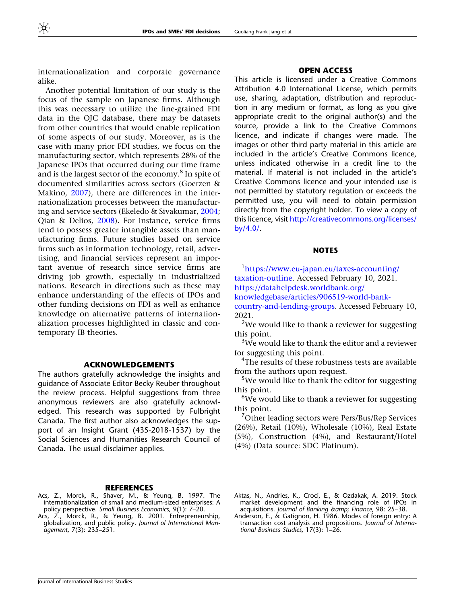<span id="page-19-0"></span>internationalization and corporate governance alike.

Another potential limitation of our study is the focus of the sample on Japanese firms. Although this was necessary to utilize the fine-grained FDI data in the OJC database, there may be datasets from other countries that would enable replication of some aspects of our study. Moreover, as is the case with many prior FDI studies, we focus on the manufacturing sector, which represents 28% of the Japanese IPOs that occurred during our time frame and is the largest sector of the economy.<sup>8</sup> In spite of documented similarities across sectors (Goerzen & Makino, [2007\)](#page-21-0), there are differences in the internationalization processes between the manufacturing and service sectors (Ekeledo & Sivakumar, [2004;](#page-20-0) Qian & Delios, [2008](#page-21-0)). For instance, service firms tend to possess greater intangible assets than manufacturing firms. Future studies based on service firms such as information technology, retail, advertising, and financial services represent an important avenue of research since service firms are driving job growth, especially in industrialized nations. Research in directions such as these may enhance understanding of the effects of IPOs and other funding decisions on FDI as well as enhance knowledge on alternative patterns of internationalization processes highlighted in classic and contemporary IB theories.

## ACKNOWLEDGEMENTS

The authors gratefully acknowledge the insights and guidance of Associate Editor Becky Reuber throughout the review process. Helpful suggestions from three anonymous reviewers are also gratefully acknowledged. This research was supported by Fulbright Canada. The first author also acknowledges the support of an Insight Grant (435-2018-1537) by the Social Sciences and Humanities Research Council of Canada. The usual disclaimer applies.

### **REFERENCES**

- Acs, Z., Morck, R., Shaver, M., & Yeung, B. 1997. The internationalization of small and medium-sized enterprises: A policy perspective. Small Business Economics, 9(1): 7–20.
- Acs, Z., Morck, R., & Yeung, B. 2001. Entrepreneurship, globalization, and public policy. Journal of International Management, 7(3): 235–251.

## OPEN ACCESS

This article is licensed under a Creative Commons Attribution 4.0 International License, which permits use, sharing, adaptation, distribution and reproduction in any medium or format, as long as you give appropriate credit to the original author(s) and the source, provide a link to the Creative Commons licence, and indicate if changes were made. The images or other third party material in this article are included in the article's Creative Commons licence, unless indicated otherwise in a credit line to the material. If material is not included in the article's Creative Commons licence and your intended use is not permitted by statutory regulation or exceeds the permitted use, you will need to obtain permission directly from the copyright holder. To view a copy of this licence, visit [http://creativecommons.org/licenses/](http://creativecommons.org/licenses/by/4.0/) [by/4.0/.](http://creativecommons.org/licenses/by/4.0/)

## **NOTES**

1 [https://www.eu-japan.eu/taxes-accounting/](https://www.eu-japan.eu/taxes-accounting/taxation-outline) [taxation-outline.](https://www.eu-japan.eu/taxes-accounting/taxation-outline) Accessed February 10, 2021. [https://datahelpdesk.worldbank.org/](https://datahelpdesk.worldbank.org/knowledgebase/articles/906519-world-bank-country-and-lending-groups) [knowledgebase/articles/906519-world-bank](https://datahelpdesk.worldbank.org/knowledgebase/articles/906519-world-bank-country-and-lending-groups)[country-and-lending-groups](https://datahelpdesk.worldbank.org/knowledgebase/articles/906519-world-bank-country-and-lending-groups). Accessed February 10, 2021.

<sup>2</sup>We would like to thank a reviewer for suggesting this point.

<sup>3</sup>We would like to thank the editor and a reviewer for suggesting this point.

<sup>4</sup>The results of these robustness tests are available from the authors upon request.

<sup>5</sup>We would like to thank the editor for suggesting this point.

<sup>6</sup>We would like to thank a reviewer for suggesting this point.

<sup>7</sup>Other leading sectors were Pers/Bus/Rep Services (26%), Retail (10%), Wholesale (10%), Real Estate (5%), Construction (4%), and Restaurant/Hotel (4%) (Data source: SDC Platinum).

Aktas, N., Andries, K., Croci, E., & Ozdakak, A. 2019. Stock market development and the financing role of IPOs in acquisitions. Journal of Banking & amp; Finance, 98: 25-38.

Anderson, E., & Gatignon, H. 1986. Modes of foreign entry: A transaction cost analysis and propositions. Journal of International Business Studies, 17(3): 1–26.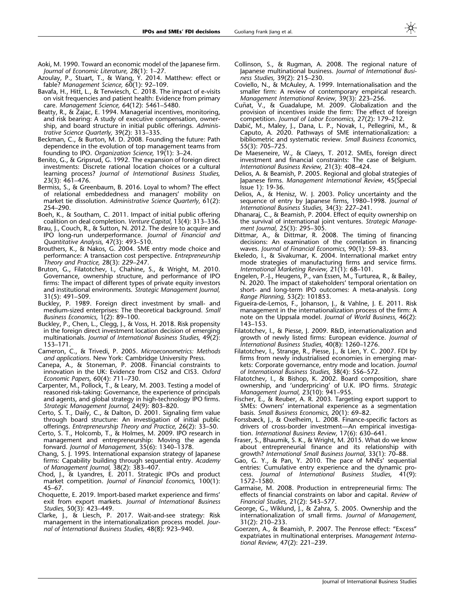- <span id="page-20-0"></span>Aoki, M. 1990. Toward an economic model of the Japanese firm. Journal of Economic Literature, 28(1): 1–27.
- Azoulay, P., Stuart, T., & Wang, Y. 2014. Matthew: effect or fable? Management Science, 60(1): 92-109.
- Bavafa, H., Hitt, L., & Terwiesch, C. 2018. The impact of e-visits on visit frequencies and patient health: Evidence from primary care. Management Science, 64(12): 5461–5480.
- Beatty, R., & Zajac, E. 1994. Managerial incentives, monitoring, and risk bearing: A study of executive compensation, ownership, and board structure in initial public offerings. Administrative Science Quarterly, 39(2): 313–335.
- Beckman, C., & Burton, M. D. 2008. Founding the future: Path dependence in the evolution of top management teams from founding to IPO. Organization Science, 19(1): 3–24.
- Benito, G., & Gripsrud, G. 1992. The expansion of foreign direct investments: Discrete rational location choices or a cultural learning process? Journal of International Business Studies, 23(3): 461–476.
- Bermiss, S., & Greenbaum, B. 2016. Loyal to whom? The effect of relational embeddedness and managers' mobility on market tie dissolution. Administrative Science Quarterly, 61(2): 254–290.
- Boeh, K., & Southam, C. 2011. Impact of initial public offering coalition on deal completion. Venture Capital, 13(4): 313–336.
- Brau, J., Couch, R., & Sutton, N. 2012. The desire to acquire and IPO long-run underperformance. Journal of Financial and Quantitative Analysis, 47(3): 493–510.
- Brouthers, K., & Nakos, G. 2004. SME entry mode choice and performance: A transaction cost perspective. Entrepreneurship Theory and Practice, 28(3): 229–247.
- Bruton, G., Filatotchev, I., Chahine, S., & Wright, M. 2010. Governance, ownership structure, and performance of IPO firms: The impact of different types of private equity investors and institutional environments. Strategic Management Journal, 31(5): 491–509.
- Buckley, P. 1989. Foreign direct investment by small- and medium-sized enterprises: The theoretical background. Small Business Economics, 1(2): 89–100.
- Buckley, P., Chen, L., Clegg, J., & Voss, H. 2018. Risk propensity in the foreign direct investment location decision of emerging multinationals. Journal of International Business Studies, 49(2): 153–171.
- Cameron, C., & Trivedi, P. 2005. Microeconometrics: Methods and applications. New York: Cambridge University Press.
- Canepa, A., & Stoneman, P. 2008. Financial constraints to innovation in the UK: Evidence from CIS2 and CIS3. Oxford Economic Papers, 60(4): 711–730.
- Carpenter, M., Pollock, T., & Leary, M. 2003. Testing a model of reasoned risk-taking: Governance, the experience of principals and agents, and global strategy in high-technology IPO firms. Strategic Management Journal, 24(9): 803–820.
- Certo, S. T., Daily, C., & Dalton, D. 2001. Signaling firm value through board structure: An investigation of initial public offerings. Entrepreneurship Theory and Practice, 26(2): 33–50.
- Certo, S. T., Holcomb, T., & Holmes, M. 2009. IPO research in management and entrepreneurship: Moving the agenda forward. Journal of Management, 35(6): 1340–1378.
- Chang, S. J. 1995. International expansion strategy of Japanese firms: Capability building through sequential entry. Academy of Management Journal, 38(2): 383–407.
- Chod, J., & Lyandres, E. 2011. Strategic IPOs and product market competition. Journal of Financial Economics, 100(1): 45–67.
- Choquette, E. 2019. Import-based market experience and firms' exit from export markets. Journal of International Business Studies, 50(3): 423–449.
- Clarke, J., & Liesch, P. 2017. Wait-and-see strategy: Risk management in the internationalization process model. Journal of International Business Studies, 48(8): 923–940.
- Collinson, S., & Rugman, A. 2008. The regional nature of Japanese multinational business. Journal of International Business Studies, 39(2): 215–230.
- Coviello, N., & McAuley, A. 1999. Internationalisation and the smaller firm: A review of contemporary empirical research. Management International Review, 39(3): 223–256.
- Cuñat, V., & Guadalupe, M. 2009. Globalization and the provision of incentives inside the firm: The effect of foreign competition. Journal of Labor Economics, 27(2): 179–212.
- Dabić, M., Maley, J., Dana, L. P., Novak, I., Pellegrini, M., & Caputo, A. 2020. Pathways of SME internationalization: a bibliometric and systematic review. Small Business Economics, 55(3): 705–725.
- De Maeseneire, W., & Claeys, T. 2012. SMEs, foreign direct investment and financial constraints: The case of Belgium. International Business Review, 21(3): 408–424.
- Delios, A. & Beamish, P. 2005. Regional and global strategies of Japanese firms. Management International Review, 45(Special Issue 1): 19-36.
- Delios, A., & Henisz, W. J. 2003. Policy uncertainty and the sequence of entry by Japanese firms, 1980–1998. Journal of International Business Studies, 34(3): 227–241.
- Dhanaraj, C., & Beamish, P. 2004. Effect of equity ownership on the survival of international joint ventures. Strategic Management Journal, 25(3): 295–305.
- Dittmar, A., & Dittmar, R. 2008. The timing of financing decisions: An examination of the correlation in financing waves. Journal of Financial Economics, 90(1): 59–83.
- Ekeledo, I., & Sivakumar, K. 2004. International market entry mode strategies of manufacturing firms and service firms. International Marketing Review, 21(1): 68–101.
- Engelen, P.-J., Heugens, P., van Essen, M., Turturea, R., & Bailey, N. 2020. The impact of stakeholders' temporal orientation on short- and long-term IPO outcomes: A meta-analysis. Long Range Planning, 53(2): 101853.
- Figueira-de-Lemos, F., Johanson, J., & Vahlne, J. E. 2011. Risk management in the internationalization process of the firm: A note on the Uppsala model. Journal of World Business, 46(2): 143–153.
- Filatotchev, I., & Piesse, J. 2009. R&D, internationalization and growth of newly listed firms: European evidence. Journal of International Business Studies, 40(8): 1260–1276.
- Filatotchev, I., Strange, R., Piesse, J., & Lien, Y. C. 2007. FDI by firms from newly industrialised economies in emerging markets: Corporate governance, entry mode and location. Journal of International Business Studies, 38(4): 556–572.
- Filatotchev, I., & Bishop, K. 2002. Board composition, share ownership, and 'underpricing' of U.K. IPO firms. Strategic Management Journal, 23(10): 941–955.
- Fischer, E., & Reuber, A. R. 2003. Targeting export support to SMEs: Owners' international experience as a segmentation basis. Small Business Economics, 20(1): 69–82.
- Forssbæck, J., & Oxelheim, L. 2008. Finance-specific factors as drivers of cross-border investment—An empirical investigation. International Business Review, 17(6): 630–641.
- Fraser, S., Bhaumik, S. K., & Wright, M. 2015. What do we know about entrepreneurial finance and its relationship with growth? International Small Business Journal, 33(1): 70–88.
- Gao, G. Y., & Pan, Y. 2010. The pace of MNEs' sequential entries: Cumulative entry experience and the dynamic process. Journal of International Business Studies, 41(9): 1572–1580.
- Garmaise, M. 2008. Production in entrepreneurial firms: The effects of financial constraints on labor and capital. Review of Financial Studies, 21(2): 543–577.
- George, G., Wiklund, J., & Zahra, S. 2005. Ownership and the internationalization of small firms. Journal of Management, 31(2): 210–233.
- Goerzen, A., & Beamish, P. 2007. The Penrose effect: ''Excess'' expatriates in multinational enterprises. Management International Review, 47(2): 221–239.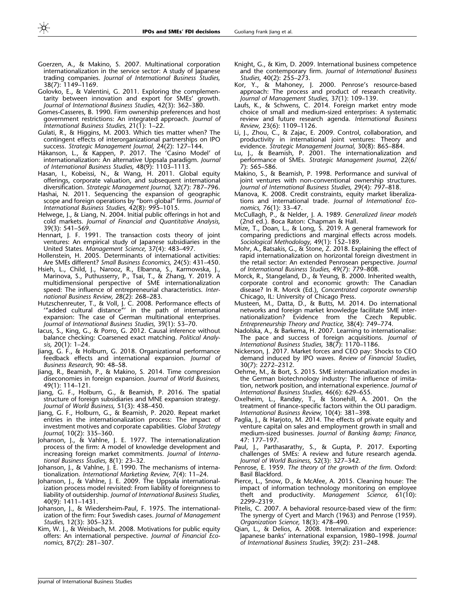- <span id="page-21-0"></span>Goerzen, A., & Makino, S. 2007. Multinational corporation internationalization in the service sector: A study of lapanese trading companies. Journal of International Business Studies, 38(7): 1149–1169.
- Golovko, E., & Valentini, G. 2011. Exploring the complementarity between innovation and export for SMEs' growth. Journal of International Business Studies, 42(3): 362–380.
- Gomes-Casseres, B. 1990. Firm ownership preferences and host government restrictions: An integrated approach. Journal of International Business Studies, 21(1): 1–22.
- Gulati, R., & Higgins, M. 2003. Which ties matter when? The contingent effects of interorganizational partnerships on IPO success. Strategic Management Journal, 24(2): 127–144.
- Håkanson, L., & Kappen, P. 2017. The 'Casino Model' of internationalization: An alternative Uppsala paradigm. Journal of International Business Studies, 48(9): 1103–1113.
- Hasan, I., Kobeissi, N., & Wang, H. 2011. Global equity offerings, corporate valuation, and subsequent international diversification. Strategic Management Journal, 32(7): 787–796.
- Hashai, N. 2011. Sequencing the expansion of geographic scope and foreign operations by ''born global'' firms. Journal of International Business Studies, 42(8): 995–1015.
- Helwege, J., & Liang, N. 2004. Initial public offerings in hot and cold markets. Journal of Financial and Quantitative Analysis, 39(3): 541–569.
- Hennart, J. F. 1991. The transaction costs theory of joint ventures: An empirical study of Japanese subsidiaries in the United States. Management Science, 37(4): 483–497.
- Hollenstein, H. 2005. Determinants of international activities: Are SMEs different? Small Business Economics, 24(5): 431–450.
- Hsieh, L., Child, J., Narooz, R., Elbanna, S., Karmowska, J., Marinova, S., Puthusserry, P., Tsai, T., & Zhang, Y. 2019. A multidimensional perspective of SME internationalization speed: The influence of entrepreneurial characteristics. International Business Review, 28(2): 268–283.
- Hutzschenreuter, T., & Voll, J. C. 2008. Performance effects of '''added cultural distance''' in the path of international expansion: The case of German multinational enterprises. Journal of International Business Studies, 39(1): 53–70.
- Iacus, S., King, G., & Porro, G. 2012. Causal inference without balance checking: Coarsened exact matching. Political Analysis, 20(1): 1–24.
- Jiang, G. F., & Holburn, G. 2018. Organizational performance feedback effects and international expansion. Journal of Business Research, 90: 48–58.
- Jiang, R., Beamish, P., & Makino, S. 2014. Time compression diseconomies in foreign expansion. Journal of World Business, 49(1): 114–121.
- Jiang, G. F., Holburn, G., & Beamish, P. 2016. The spatial structure of foreign subsidiaries and MNE expansion strategy. Journal of World Business, 51(3): 438–450.
- Jiang, G. F., Holburn, G., & Beamish, P. 2020. Repeat market entries in the internationalization process: The impact of investment motives and corporate capabilities. Global Strategy Journal, 10(2): 335–360.
- Johanson, J., & Vahlne, J. E. 1977. The internationalization process of the firm: A model of knowledge development and increasing foreign market commitments. Journal of International Business Studies, 8(1): 23–32.
- Johanson, J., & Vahlne, J. E. 1990. The mechanisms of internationalization. International Marketing Review, 7(4): 11–24.
- Johanson, J., & Vahlne, J. E. 2009. The Uppsala internationalization process model revisited: From liability of foreignness to liability of outsidership. Journal of International Business Studies, 40(9): 1411–1431.
- Johanson, J., & Wiedersheim-Paul, F. 1975. The internationalization of the firm: Four Swedish cases. Journal of Management Studies, 12(3): 305–323.
- Kim, W. J., & Weisbach, M. 2008. Motivations for public equity offers: An international perspective. Journal of Financial Economics, 87(2): 281–307.
- Knight, G., & Kim, D. 2009. International business competence and the contemporary firm. Journal of International Business Studies, 40(2): 255–273.
- Kor, Y., & Mahoney, J. 2000. Penrose's resource-based approach: The process and product of research creativity. Journal of Management Studies, 37(1): 109–139.
- Laufs, K., & Schwens, C. 2014. Foreign market entry mode choice of small and medium-sized enterprises: A systematic review and future research agenda. International Business Review, 23(6): 1109–1126.
- Li, J., Zhou, C., & Zajac, E. 2009. Control, collaboration, and productivity in international joint ventures: Theory and evidence. Strategic Management Journal, 30(8): 865–884.
- Lu, J., & Beamish, P. 2001. The internationalization and performance of SMEs. Strategic Management Journal, 22(6/ 7): 565–586.
- Makino, S., & Beamish, P. 1998. Performance and survival of joint ventures with non-conventional ownership structures. Journal of International Business Studies, 29(4): 797–818.
- Manova, K. 2008. Credit constraints, equity market liberalizations and international trade. Journal of International Economics, 76(1): 33–47.
- McCullagh, P., & Nelder, J. A. 1989. Generalized linear models (2nd ed.). Boca Raton: Chapman & Hall.
- Mize, T., Doan, L., & Long, S. 2019. A general framework for comparing predictions and marginal effects across models. Sociological Methodology, 49(1): 152–189.
- Mohr, A., Batsakis, G., & Stone, Z. 2018. Explaining the effect of rapid internationalization on horizontal foreign divestment in the retail sector: An extended Penrosean perspective. Journal of International Business Studies, 49(7): 779–808.
- Morck, R., Stangeland, D., & Yeung, B. 2000. Inherited wealth, corporate control and economic growth: The Canadian disease? In R. Morck (Ed.), Concentrated corporate ownership Chicago, IL: University of Chicago Press.
- Musteen, M., Datta, D., & Butts, M. 2014. Do international networks and foreign market knowledge facilitate SME internationalization? Evidence from the Czech Republic. Entrepreneurship Theory and Practice, 38(4): 749–774.
- Nadolska, A., & Barkema, H. 2007. Learning to internationalise: The pace and success of foreign acquisitions. Journal of International Business Studies, 38(7): 1170–1186.
- Nickerson, J. 2017. Market forces and CEO pay: Shocks to CEO demand induced by IPO waves. Review of Financial Studies, 30(7): 2272–2312.
- Oehme, M., & Bort, S. 2015. SME internationalization modes in the German biotechnology industry: The influence of imitation, network position, and international experience. Journal of International Business Studies, 46(6): 629–655.
- Oxelheim, L., Randøy, T., & Stonehill, A. 2001. On the treatment of finance-specific factors within the OLI paradigm. International Business Review, 10(4): 381–398.
- Paglia, J., & Harjoto, M. 2014. The effects of private equity and venture capital on sales and employment growth in small and medium-sized businesses. Journal of Banking & amp; Finance, 47: 177–197.
- Paul, J., Parthasarathy, S., & Gupta, P. 2017. Exporting challenges of SMEs: A review and future research agenda. Journal of World Business, 52(3): 327–342.
- Penrose, E. 1959. The theory of the growth of the firm. Oxford: Basil Blackford.
- Pierce, L., Snow, D., & McAfee, A. 2015. Cleaning house: The impact of information technology monitoring on employee theft and productivity. Management Science, 61(10): 2299–2319.
- Pitelis, C. 2007. A behavioral resource-based view of the firm: The synergy of Cyert and March (1963) and Penrose (1959). Organization Science, 18(3): 478–490.
- Qian, L., & Delios, A. 2008. Internalization and experience: Japanese banks' international expansion, 1980–1998. Journal of International Business Studies, 39(2): 231–248.